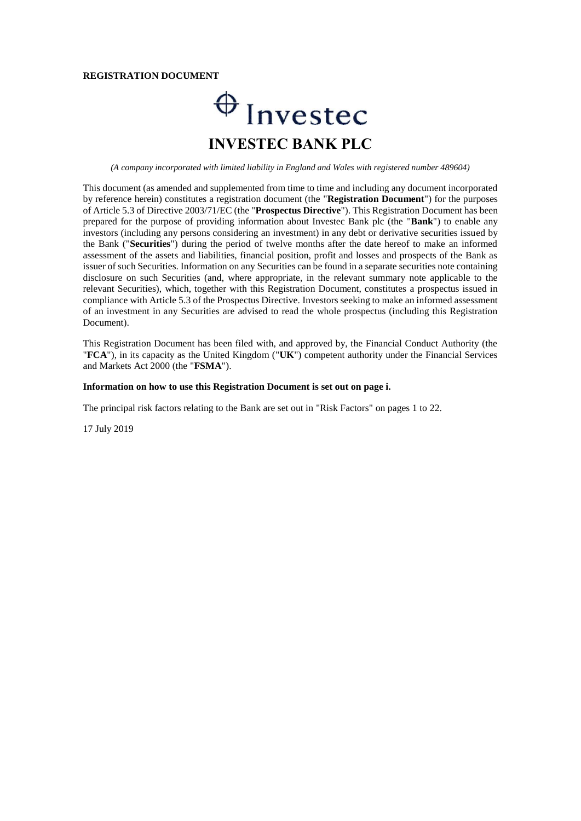#### **REGISTRATION DOCUMENT**

# $\bigoplus$  Invested **INVESTEC BANK PLC**

*(A company incorporated with limited liability in England and Wales with registered number 489604)*

This document (as amended and supplemented from time to time and including any document incorporated by reference herein) constitutes a registration document (the "**Registration Document**") for the purposes of Article 5.3 of Directive 2003/71/EC (the "**Prospectus Directive**"). This Registration Document has been prepared for the purpose of providing information about Investec Bank plc (the "**Bank**") to enable any investors (including any persons considering an investment) in any debt or derivative securities issued by the Bank ("**Securities**") during the period of twelve months after the date hereof to make an informed assessment of the assets and liabilities, financial position, profit and losses and prospects of the Bank as issuer of such Securities. Information on any Securities can be found in a separate securities note containing disclosure on such Securities (and, where appropriate, in the relevant summary note applicable to the relevant Securities), which, together with this Registration Document, constitutes a prospectus issued in compliance with Article 5.3 of the Prospectus Directive. Investors seeking to make an informed assessment of an investment in any Securities are advised to read the whole prospectus (including this Registration Document).

This Registration Document has been filed with, and approved by, the Financial Conduct Authority (the "**FCA**"), in its capacity as the United Kingdom ("**UK**") competent authority under the Financial Services and Markets Act 2000 (the "**FSMA**").

#### **Information on how to use this Registration Document is set out on page i.**

The principal risk factors relating to the Bank are set out in "Risk Factors" on pages 1 to 22.

17 July 2019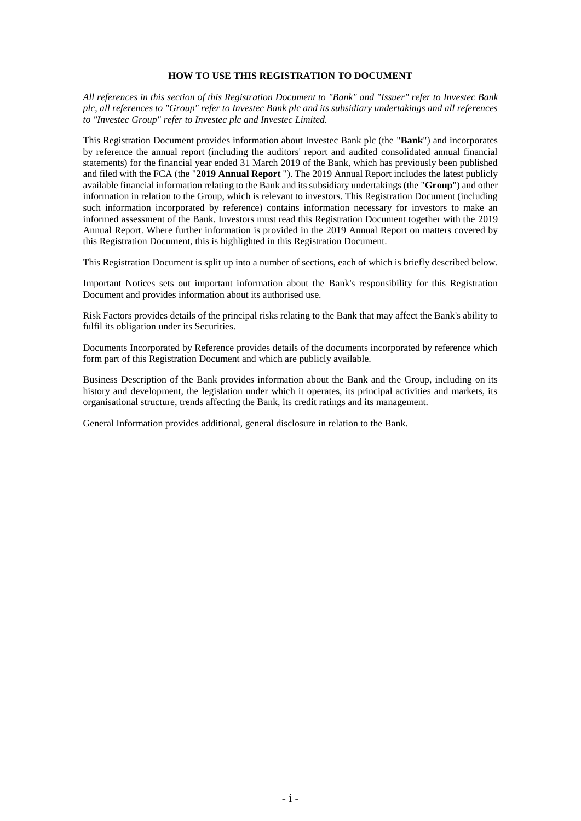## **HOW TO USE THIS REGISTRATION TO DOCUMENT**

*All references in this section of this Registration Document to "Bank" and "Issuer" refer to Investec Bank plc, all references to "Group" refer to Investec Bank plc and its subsidiary undertakings and all references to "Investec Group" refer to Investec plc and Investec Limited.*

This Registration Document provides information about Investec Bank plc (the "**Bank**") and incorporates by reference the annual report (including the auditors' report and audited consolidated annual financial statements) for the financial year ended 31 March 2019 of the Bank, which has previously been published and filed with the FCA (the "**2019 Annual Report** "). The 2019 Annual Report includes the latest publicly available financial information relating to the Bank and its subsidiary undertakings (the "**Group**") and other information in relation to the Group, which is relevant to investors. This Registration Document (including such information incorporated by reference) contains information necessary for investors to make an informed assessment of the Bank. Investors must read this Registration Document together with the 2019 Annual Report. Where further information is provided in the 2019 Annual Report on matters covered by this Registration Document, this is highlighted in this Registration Document.

This Registration Document is split up into a number of sections, each of which is briefly described below.

Important Notices sets out important information about the Bank's responsibility for this Registration Document and provides information about its authorised use.

Risk Factors provides details of the principal risks relating to the Bank that may affect the Bank's ability to fulfil its obligation under its Securities.

Documents Incorporated by Reference provides details of the documents incorporated by reference which form part of this Registration Document and which are publicly available.

Business Description of the Bank provides information about the Bank and the Group, including on its history and development, the legislation under which it operates, its principal activities and markets, its organisational structure, trends affecting the Bank, its credit ratings and its management.

General Information provides additional, general disclosure in relation to the Bank.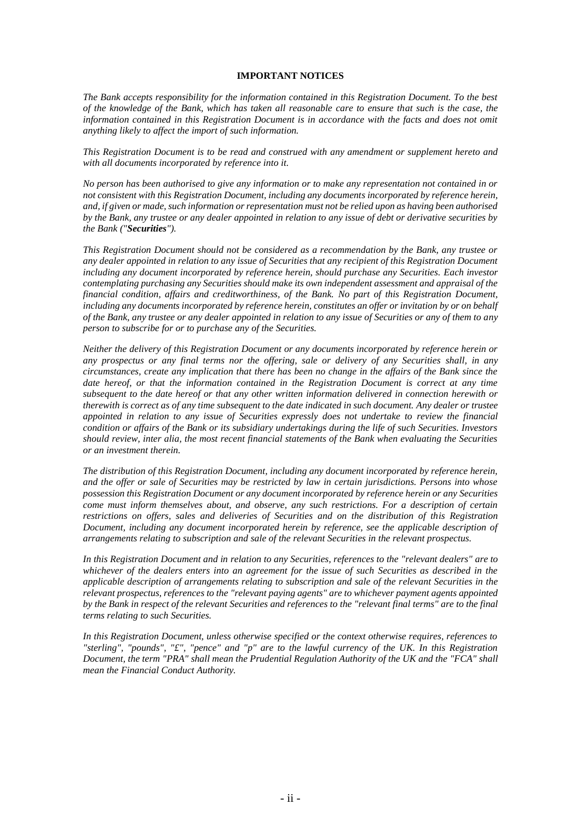## **IMPORTANT NOTICES**

*The Bank accepts responsibility for the information contained in this Registration Document. To the best of the knowledge of the Bank, which has taken all reasonable care to ensure that such is the case, the information contained in this Registration Document is in accordance with the facts and does not omit anything likely to affect the import of such information.*

*This Registration Document is to be read and construed with any amendment or supplement hereto and with all documents incorporated by reference into it.*

*No person has been authorised to give any information or to make any representation not contained in or not consistent with this Registration Document, including any documents incorporated by reference herein, and, if given or made, such information or representation must not be relied upon as having been authorised by the Bank, any trustee or any dealer appointed in relation to any issue of debt or derivative securities by the Bank ("Securities").*

*This Registration Document should not be considered as a recommendation by the Bank, any trustee or any dealer appointed in relation to any issue of Securities that any recipient of this Registration Document including any document incorporated by reference herein, should purchase any Securities. Each investor contemplating purchasing any Securities should make its own independent assessment and appraisal of the financial condition, affairs and creditworthiness, of the Bank. No part of this Registration Document, including any documents incorporated by reference herein, constitutes an offer or invitation by or on behalf of the Bank, any trustee or any dealer appointed in relation to any issue of Securities or any of them to any person to subscribe for or to purchase any of the Securities.*

*Neither the delivery of this Registration Document or any documents incorporated by reference herein or any prospectus or any final terms nor the offering, sale or delivery of any Securities shall, in any circumstances, create any implication that there has been no change in the affairs of the Bank since the date hereof, or that the information contained in the Registration Document is correct at any time subsequent to the date hereof or that any other written information delivered in connection herewith or therewith is correct as of any time subsequent to the date indicated in such document. Any dealer or trustee appointed in relation to any issue of Securities expressly does not undertake to review the financial condition or affairs of the Bank or its subsidiary undertakings during the life of such Securities. Investors should review, inter alia, the most recent financial statements of the Bank when evaluating the Securities or an investment therein.*

*The distribution of this Registration Document, including any document incorporated by reference herein, and the offer or sale of Securities may be restricted by law in certain jurisdictions. Persons into whose possession this Registration Document or any document incorporated by reference herein or any Securities come must inform themselves about, and observe, any such restrictions. For a description of certain restrictions on offers, sales and deliveries of Securities and on the distribution of this Registration Document, including any document incorporated herein by reference, see the applicable description of arrangements relating to subscription and sale of the relevant Securities in the relevant prospectus.*

*In this Registration Document and in relation to any Securities, references to the "relevant dealers" are to whichever of the dealers enters into an agreement for the issue of such Securities as described in the applicable description of arrangements relating to subscription and sale of the relevant Securities in the relevant prospectus, references to the "relevant paying agents" are to whichever payment agents appointed by the Bank in respect of the relevant Securities and references to the "relevant final terms" are to the final terms relating to such Securities.*

*In this Registration Document, unless otherwise specified or the context otherwise requires, references to "sterling", "pounds", "£", "pence" and "p" are to the lawful currency of the UK. In this Registration Document, the term "PRA" shall mean the Prudential Regulation Authority of the UK and the "FCA" shall mean the Financial Conduct Authority.*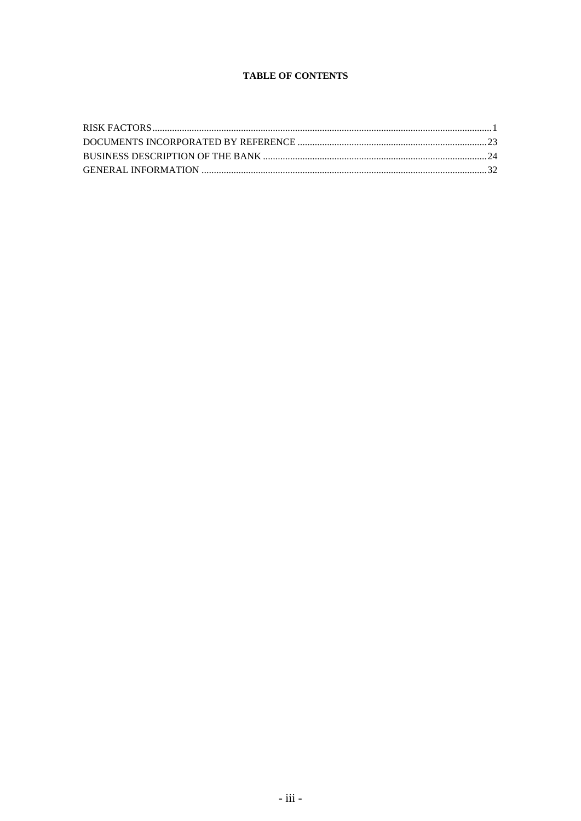# **TABLE OF CONTENTS**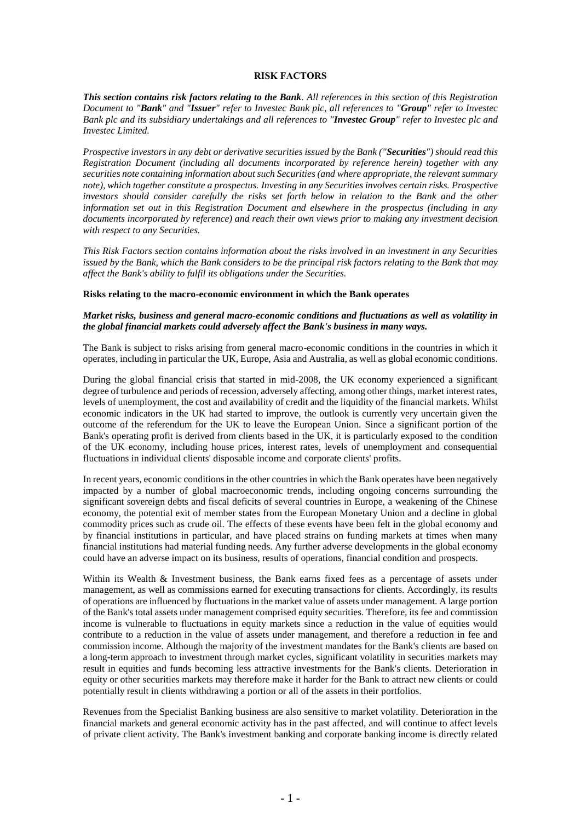#### **RISK FACTORS**

*This section contains risk factors relating to the Bank. All references in this section of this Registration Document to "Bank" and "Issuer" refer to Investec Bank plc, all references to "Group" refer to Investec Bank plc and its subsidiary undertakings and all references to "Investec Group" refer to Investec plc and Investec Limited.*

*Prospective investors in any debt or derivative securities issued by the Bank ("Securities") should read this Registration Document (including all documents incorporated by reference herein) together with any securities note containing information about such Securities (and where appropriate, the relevant summary note), which together constitute a prospectus. Investing in any Securities involves certain risks. Prospective investors should consider carefully the risks set forth below in relation to the Bank and the other information set out in this Registration Document and elsewhere in the prospectus (including in any documents incorporated by reference) and reach their own views prior to making any investment decision with respect to any Securities.*

*This Risk Factors section contains information about the risks involved in an investment in any Securities issued by the Bank, which the Bank considers to be the principal risk factors relating to the Bank that may affect the Bank's ability to fulfil its obligations under the Securities.*

#### **Risks relating to the macro-economic environment in which the Bank operates**

#### *Market risks, business and general macro-economic conditions and fluctuations as well as volatility in the global financial markets could adversely affect the Bank's business in many ways.*

The Bank is subject to risks arising from general macro-economic conditions in the countries in which it operates, including in particular the UK, Europe, Asia and Australia, as well as global economic conditions.

During the global financial crisis that started in mid-2008, the UK economy experienced a significant degree of turbulence and periods of recession, adversely affecting, among other things, market interest rates, levels of unemployment, the cost and availability of credit and the liquidity of the financial markets. Whilst economic indicators in the UK had started to improve, the outlook is currently very uncertain given the outcome of the referendum for the UK to leave the European Union. Since a significant portion of the Bank's operating profit is derived from clients based in the UK, it is particularly exposed to the condition of the UK economy, including house prices, interest rates, levels of unemployment and consequential fluctuations in individual clients' disposable income and corporate clients' profits.

In recent years, economic conditions in the other countries in which the Bank operates have been negatively impacted by a number of global macroeconomic trends, including ongoing concerns surrounding the significant sovereign debts and fiscal deficits of several countries in Europe, a weakening of the Chinese economy, the potential exit of member states from the European Monetary Union and a decline in global commodity prices such as crude oil. The effects of these events have been felt in the global economy and by financial institutions in particular, and have placed strains on funding markets at times when many financial institutions had material funding needs. Any further adverse developments in the global economy could have an adverse impact on its business, results of operations, financial condition and prospects.

Within its Wealth & Investment business, the Bank earns fixed fees as a percentage of assets under management, as well as commissions earned for executing transactions for clients. Accordingly, its results of operations are influenced by fluctuations in the market value of assets under management. A large portion of the Bank's total assets under management comprised equity securities. Therefore, its fee and commission income is vulnerable to fluctuations in equity markets since a reduction in the value of equities would contribute to a reduction in the value of assets under management, and therefore a reduction in fee and commission income. Although the majority of the investment mandates for the Bank's clients are based on a long-term approach to investment through market cycles, significant volatility in securities markets may result in equities and funds becoming less attractive investments for the Bank's clients. Deterioration in equity or other securities markets may therefore make it harder for the Bank to attract new clients or could potentially result in clients withdrawing a portion or all of the assets in their portfolios.

Revenues from the Specialist Banking business are also sensitive to market volatility. Deterioration in the financial markets and general economic activity has in the past affected, and will continue to affect levels of private client activity. The Bank's investment banking and corporate banking income is directly related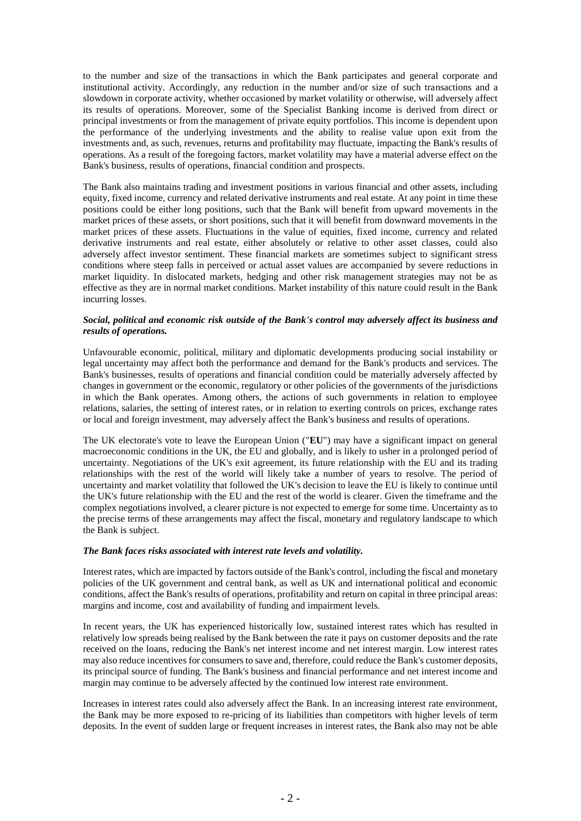to the number and size of the transactions in which the Bank participates and general corporate and institutional activity. Accordingly, any reduction in the number and/or size of such transactions and a slowdown in corporate activity, whether occasioned by market volatility or otherwise, will adversely affect its results of operations. Moreover, some of the Specialist Banking income is derived from direct or principal investments or from the management of private equity portfolios. This income is dependent upon the performance of the underlying investments and the ability to realise value upon exit from the investments and, as such, revenues, returns and profitability may fluctuate, impacting the Bank's results of operations. As a result of the foregoing factors, market volatility may have a material adverse effect on the Bank's business, results of operations, financial condition and prospects.

The Bank also maintains trading and investment positions in various financial and other assets, including equity, fixed income, currency and related derivative instruments and real estate. At any point in time these positions could be either long positions, such that the Bank will benefit from upward movements in the market prices of these assets, or short positions, such that it will benefit from downward movements in the market prices of these assets. Fluctuations in the value of equities, fixed income, currency and related derivative instruments and real estate, either absolutely or relative to other asset classes, could also adversely affect investor sentiment. These financial markets are sometimes subject to significant stress conditions where steep falls in perceived or actual asset values are accompanied by severe reductions in market liquidity. In dislocated markets, hedging and other risk management strategies may not be as effective as they are in normal market conditions. Market instability of this nature could result in the Bank incurring losses.

## *Social, political and economic risk outside of the Bank's control may adversely affect its business and results of operations.*

Unfavourable economic, political, military and diplomatic developments producing social instability or legal uncertainty may affect both the performance and demand for the Bank's products and services. The Bank's businesses, results of operations and financial condition could be materially adversely affected by changes in government or the economic, regulatory or other policies of the governments of the jurisdictions in which the Bank operates. Among others, the actions of such governments in relation to employee relations, salaries, the setting of interest rates, or in relation to exerting controls on prices, exchange rates or local and foreign investment, may adversely affect the Bank's business and results of operations.

The UK electorate's vote to leave the European Union ("**EU**") may have a significant impact on general macroeconomic conditions in the UK, the EU and globally, and is likely to usher in a prolonged period of uncertainty. Negotiations of the UK's exit agreement, its future relationship with the EU and its trading relationships with the rest of the world will likely take a number of years to resolve. The period of uncertainty and market volatility that followed the UK's decision to leave the EU is likely to continue until the UK's future relationship with the EU and the rest of the world is clearer. Given the timeframe and the complex negotiations involved, a clearer picture is not expected to emerge for some time. Uncertainty as to the precise terms of these arrangements may affect the fiscal, monetary and regulatory landscape to which the Bank is subject.

## *The Bank faces risks associated with interest rate levels and volatility.*

Interest rates, which are impacted by factors outside of the Bank's control, including the fiscal and monetary policies of the UK government and central bank, as well as UK and international political and economic conditions, affect the Bank's results of operations, profitability and return on capital in three principal areas: margins and income, cost and availability of funding and impairment levels.

In recent years, the UK has experienced historically low, sustained interest rates which has resulted in relatively low spreads being realised by the Bank between the rate it pays on customer deposits and the rate received on the loans, reducing the Bank's net interest income and net interest margin. Low interest rates may also reduce incentives for consumers to save and, therefore, could reduce the Bank's customer deposits, its principal source of funding. The Bank's business and financial performance and net interest income and margin may continue to be adversely affected by the continued low interest rate environment.

Increases in interest rates could also adversely affect the Bank. In an increasing interest rate environment, the Bank may be more exposed to re-pricing of its liabilities than competitors with higher levels of term deposits. In the event of sudden large or frequent increases in interest rates, the Bank also may not be able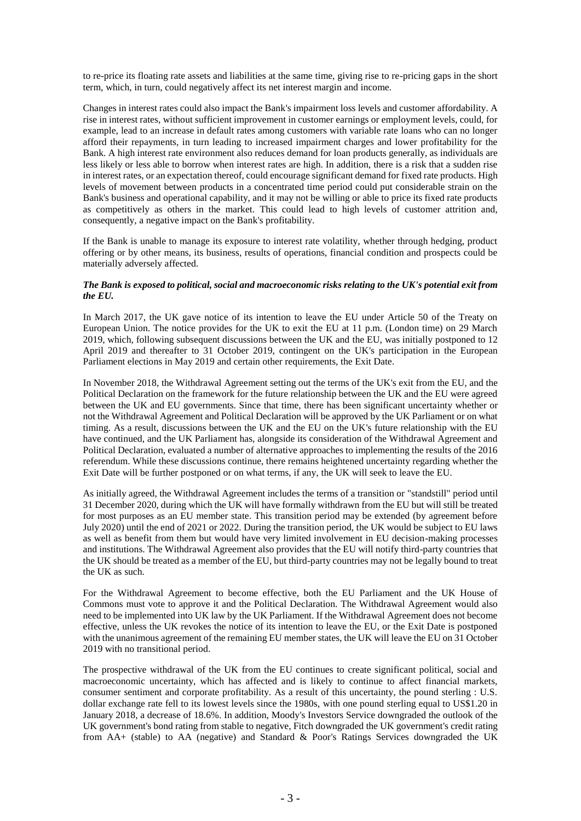to re-price its floating rate assets and liabilities at the same time, giving rise to re-pricing gaps in the short term, which, in turn, could negatively affect its net interest margin and income.

Changes in interest rates could also impact the Bank's impairment loss levels and customer affordability. A rise in interest rates, without sufficient improvement in customer earnings or employment levels, could, for example, lead to an increase in default rates among customers with variable rate loans who can no longer afford their repayments, in turn leading to increased impairment charges and lower profitability for the Bank. A high interest rate environment also reduces demand for loan products generally, as individuals are less likely or less able to borrow when interest rates are high. In addition, there is a risk that a sudden rise in interest rates, or an expectation thereof, could encourage significant demand for fixed rate products. High levels of movement between products in a concentrated time period could put considerable strain on the Bank's business and operational capability, and it may not be willing or able to price its fixed rate products as competitively as others in the market. This could lead to high levels of customer attrition and, consequently, a negative impact on the Bank's profitability.

If the Bank is unable to manage its exposure to interest rate volatility, whether through hedging, product offering or by other means, its business, results of operations, financial condition and prospects could be materially adversely affected.

### *The Bank is exposed to political, social and macroeconomic risks relating to the UK's potential exit from the EU.*

In March 2017, the UK gave notice of its intention to leave the EU under Article 50 of the Treaty on European Union. The notice provides for the UK to exit the EU at 11 p.m. (London time) on 29 March 2019, which, following subsequent discussions between the UK and the EU, was initially postponed to 12 April 2019 and thereafter to 31 October 2019, contingent on the UK's participation in the European Parliament elections in May 2019 and certain other requirements, the Exit Date.

In November 2018, the Withdrawal Agreement setting out the terms of the UK's exit from the EU, and the Political Declaration on the framework for the future relationship between the UK and the EU were agreed between the UK and EU governments. Since that time, there has been significant uncertainty whether or not the Withdrawal Agreement and Political Declaration will be approved by the UK Parliament or on what timing. As a result, discussions between the UK and the EU on the UK's future relationship with the EU have continued, and the UK Parliament has, alongside its consideration of the Withdrawal Agreement and Political Declaration, evaluated a number of alternative approaches to implementing the results of the 2016 referendum. While these discussions continue, there remains heightened uncertainty regarding whether the Exit Date will be further postponed or on what terms, if any, the UK will seek to leave the EU.

As initially agreed, the Withdrawal Agreement includes the terms of a transition or "standstill" period until 31 December 2020, during which the UK will have formally withdrawn from the EU but will still be treated for most purposes as an EU member state. This transition period may be extended (by agreement before July 2020) until the end of 2021 or 2022. During the transition period, the UK would be subject to EU laws as well as benefit from them but would have very limited involvement in EU decision-making processes and institutions. The Withdrawal Agreement also provides that the EU will notify third-party countries that the UK should be treated as a member of the EU, but third-party countries may not be legally bound to treat the UK as such.

For the Withdrawal Agreement to become effective, both the EU Parliament and the UK House of Commons must vote to approve it and the Political Declaration. The Withdrawal Agreement would also need to be implemented into UK law by the UK Parliament. If the Withdrawal Agreement does not become effective, unless the UK revokes the notice of its intention to leave the EU, or the Exit Date is postponed with the unanimous agreement of the remaining EU member states, the UK will leave the EU on 31 October 2019 with no transitional period.

The prospective withdrawal of the UK from the EU continues to create significant political, social and macroeconomic uncertainty, which has affected and is likely to continue to affect financial markets, consumer sentiment and corporate profitability. As a result of this uncertainty, the pound sterling : U.S. dollar exchange rate fell to its lowest levels since the 1980s, with one pound sterling equal to US\$1.20 in January 2018, a decrease of 18.6%. In addition, Moody's Investors Service downgraded the outlook of the UK government's bond rating from stable to negative, Fitch downgraded the UK government's credit rating from AA+ (stable) to AA (negative) and Standard & Poor's Ratings Services downgraded the UK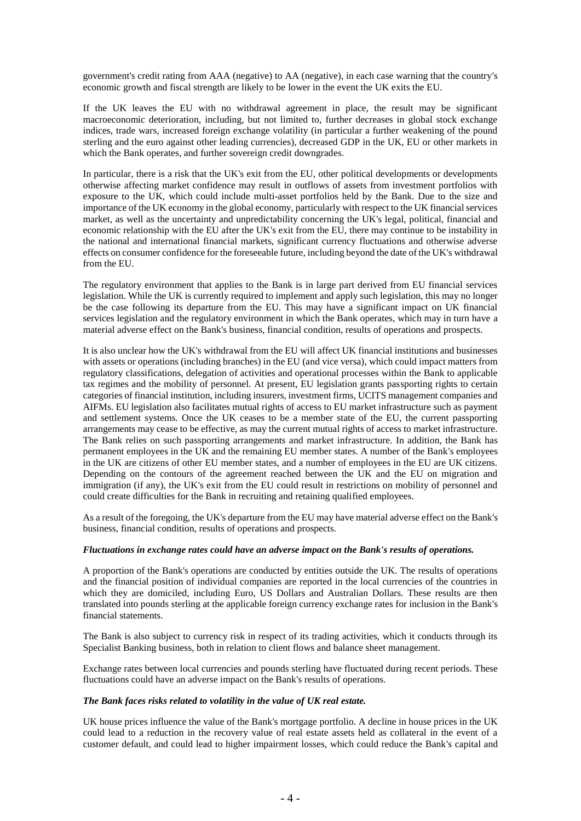government's credit rating from AAA (negative) to AA (negative), in each case warning that the country's economic growth and fiscal strength are likely to be lower in the event the UK exits the EU.

If the UK leaves the EU with no withdrawal agreement in place, the result may be significant macroeconomic deterioration, including, but not limited to, further decreases in global stock exchange indices, trade wars, increased foreign exchange volatility (in particular a further weakening of the pound sterling and the euro against other leading currencies), decreased GDP in the UK, EU or other markets in which the Bank operates, and further sovereign credit downgrades.

In particular, there is a risk that the UK's exit from the EU, other political developments or developments otherwise affecting market confidence may result in outflows of assets from investment portfolios with exposure to the UK, which could include multi-asset portfolios held by the Bank. Due to the size and importance of the UK economy in the global economy, particularly with respect to the UK financial services market, as well as the uncertainty and unpredictability concerning the UK's legal, political, financial and economic relationship with the EU after the UK's exit from the EU, there may continue to be instability in the national and international financial markets, significant currency fluctuations and otherwise adverse effects on consumer confidence for the foreseeable future, including beyond the date of the UK's withdrawal from the EU.

The regulatory environment that applies to the Bank is in large part derived from EU financial services legislation. While the UK is currently required to implement and apply such legislation, this may no longer be the case following its departure from the EU. This may have a significant impact on UK financial services legislation and the regulatory environment in which the Bank operates, which may in turn have a material adverse effect on the Bank's business, financial condition, results of operations and prospects.

It is also unclear how the UK's withdrawal from the EU will affect UK financial institutions and businesses with assets or operations (including branches) in the EU (and vice versa), which could impact matters from regulatory classifications, delegation of activities and operational processes within the Bank to applicable tax regimes and the mobility of personnel. At present, EU legislation grants passporting rights to certain categories of financial institution, including insurers, investment firms, UCITS management companies and AIFMs. EU legislation also facilitates mutual rights of access to EU market infrastructure such as payment and settlement systems. Once the UK ceases to be a member state of the EU, the current passporting arrangements may cease to be effective, as may the current mutual rights of access to market infrastructure. The Bank relies on such passporting arrangements and market infrastructure. In addition, the Bank has permanent employees in the UK and the remaining EU member states. A number of the Bank's employees in the UK are citizens of other EU member states, and a number of employees in the EU are UK citizens. Depending on the contours of the agreement reached between the UK and the EU on migration and immigration (if any), the UK's exit from the EU could result in restrictions on mobility of personnel and could create difficulties for the Bank in recruiting and retaining qualified employees.

As a result of the foregoing, the UK's departure from the EU may have material adverse effect on the Bank's business, financial condition, results of operations and prospects.

#### *Fluctuations in exchange rates could have an adverse impact on the Bank's results of operations.*

A proportion of the Bank's operations are conducted by entities outside the UK. The results of operations and the financial position of individual companies are reported in the local currencies of the countries in which they are domiciled, including Euro, US Dollars and Australian Dollars. These results are then translated into pounds sterling at the applicable foreign currency exchange rates for inclusion in the Bank's financial statements.

The Bank is also subject to currency risk in respect of its trading activities, which it conducts through its Specialist Banking business, both in relation to client flows and balance sheet management.

Exchange rates between local currencies and pounds sterling have fluctuated during recent periods. These fluctuations could have an adverse impact on the Bank's results of operations.

#### *The Bank faces risks related to volatility in the value of UK real estate.*

UK house prices influence the value of the Bank's mortgage portfolio. A decline in house prices in the UK could lead to a reduction in the recovery value of real estate assets held as collateral in the event of a customer default, and could lead to higher impairment losses, which could reduce the Bank's capital and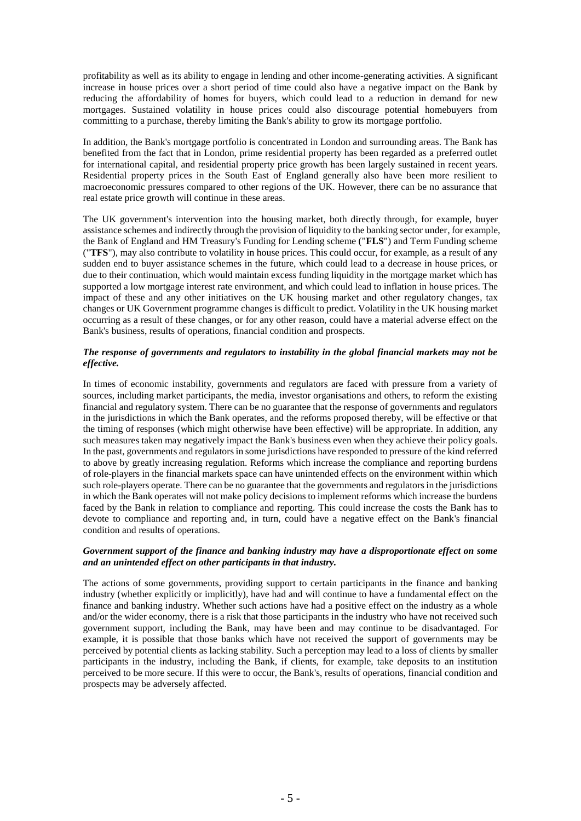profitability as well as its ability to engage in lending and other income-generating activities. A significant increase in house prices over a short period of time could also have a negative impact on the Bank by reducing the affordability of homes for buyers, which could lead to a reduction in demand for new mortgages. Sustained volatility in house prices could also discourage potential homebuyers from committing to a purchase, thereby limiting the Bank's ability to grow its mortgage portfolio.

In addition, the Bank's mortgage portfolio is concentrated in London and surrounding areas. The Bank has benefited from the fact that in London, prime residential property has been regarded as a preferred outlet for international capital, and residential property price growth has been largely sustained in recent years. Residential property prices in the South East of England generally also have been more resilient to macroeconomic pressures compared to other regions of the UK. However, there can be no assurance that real estate price growth will continue in these areas.

The UK government's intervention into the housing market, both directly through, for example, buyer assistance schemes and indirectly through the provision of liquidity to the banking sector under, for example, the Bank of England and HM Treasury's Funding for Lending scheme ("**FLS**") and Term Funding scheme ("**TFS**"), may also contribute to volatility in house prices. This could occur, for example, as a result of any sudden end to buyer assistance schemes in the future, which could lead to a decrease in house prices, or due to their continuation, which would maintain excess funding liquidity in the mortgage market which has supported a low mortgage interest rate environment, and which could lead to inflation in house prices. The impact of these and any other initiatives on the UK housing market and other regulatory changes, tax changes or UK Government programme changes is difficult to predict. Volatility in the UK housing market occurring as a result of these changes, or for any other reason, could have a material adverse effect on the Bank's business, results of operations, financial condition and prospects.

## *The response of governments and regulators to instability in the global financial markets may not be effective.*

In times of economic instability, governments and regulators are faced with pressure from a variety of sources, including market participants, the media, investor organisations and others, to reform the existing financial and regulatory system. There can be no guarantee that the response of governments and regulators in the jurisdictions in which the Bank operates, and the reforms proposed thereby, will be effective or that the timing of responses (which might otherwise have been effective) will be appropriate. In addition, any such measures taken may negatively impact the Bank's business even when they achieve their policy goals. In the past, governments and regulators in some jurisdictions have responded to pressure of the kind referred to above by greatly increasing regulation. Reforms which increase the compliance and reporting burdens of role-players in the financial markets space can have unintended effects on the environment within which such role-players operate. There can be no guarantee that the governments and regulators in the jurisdictions in which the Bank operates will not make policy decisions to implement reforms which increase the burdens faced by the Bank in relation to compliance and reporting. This could increase the costs the Bank has to devote to compliance and reporting and, in turn, could have a negative effect on the Bank's financial condition and results of operations.

## *Government support of the finance and banking industry may have a disproportionate effect on some and an unintended effect on other participants in that industry.*

The actions of some governments, providing support to certain participants in the finance and banking industry (whether explicitly or implicitly), have had and will continue to have a fundamental effect on the finance and banking industry. Whether such actions have had a positive effect on the industry as a whole and/or the wider economy, there is a risk that those participants in the industry who have not received such government support, including the Bank, may have been and may continue to be disadvantaged. For example, it is possible that those banks which have not received the support of governments may be perceived by potential clients as lacking stability. Such a perception may lead to a loss of clients by smaller participants in the industry, including the Bank, if clients, for example, take deposits to an institution perceived to be more secure. If this were to occur, the Bank's, results of operations, financial condition and prospects may be adversely affected.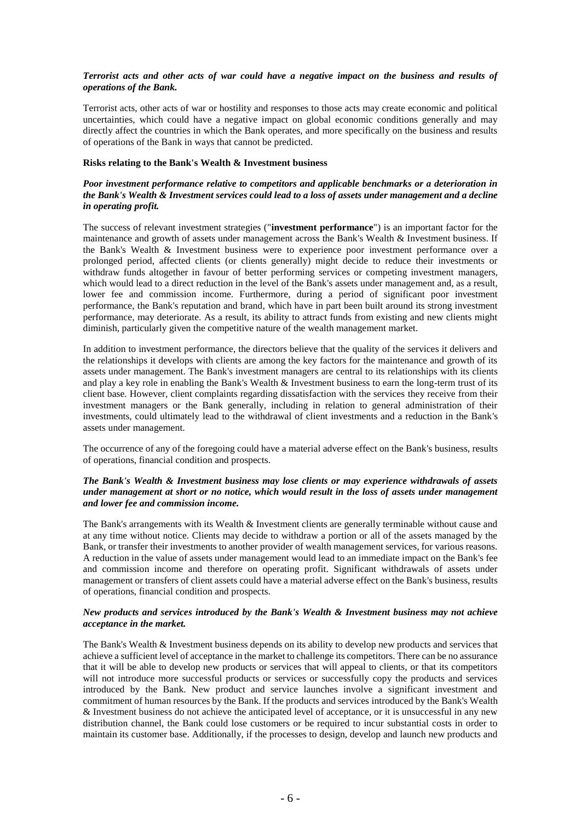## *Terrorist acts and other acts of war could have a negative impact on the business and results of operations of the Bank.*

Terrorist acts, other acts of war or hostility and responses to those acts may create economic and political uncertainties, which could have a negative impact on global economic conditions generally and may directly affect the countries in which the Bank operates, and more specifically on the business and results of operations of the Bank in ways that cannot be predicted.

## **Risks relating to the Bank's Wealth & Investment business**

## *Poor investment performance relative to competitors and applicable benchmarks or a deterioration in the Bank's Wealth & Investment services could lead to a loss of assets under management and a decline in operating profit.*

The success of relevant investment strategies ("**investment performance**") is an important factor for the maintenance and growth of assets under management across the Bank's Wealth & Investment business. If the Bank's Wealth & Investment business were to experience poor investment performance over a prolonged period, affected clients (or clients generally) might decide to reduce their investments or withdraw funds altogether in favour of better performing services or competing investment managers, which would lead to a direct reduction in the level of the Bank's assets under management and, as a result, lower fee and commission income. Furthermore, during a period of significant poor investment performance, the Bank's reputation and brand, which have in part been built around its strong investment performance, may deteriorate. As a result, its ability to attract funds from existing and new clients might diminish, particularly given the competitive nature of the wealth management market.

In addition to investment performance, the directors believe that the quality of the services it delivers and the relationships it develops with clients are among the key factors for the maintenance and growth of its assets under management. The Bank's investment managers are central to its relationships with its clients and play a key role in enabling the Bank's Wealth & Investment business to earn the long-term trust of its client base. However, client complaints regarding dissatisfaction with the services they receive from their investment managers or the Bank generally, including in relation to general administration of their investments, could ultimately lead to the withdrawal of client investments and a reduction in the Bank's assets under management.

The occurrence of any of the foregoing could have a material adverse effect on the Bank's business, results of operations, financial condition and prospects.

## *The Bank's Wealth & Investment business may lose clients or may experience withdrawals of assets under management at short or no notice, which would result in the loss of assets under management and lower fee and commission income.*

The Bank's arrangements with its Wealth & Investment clients are generally terminable without cause and at any time without notice. Clients may decide to withdraw a portion or all of the assets managed by the Bank, or transfer their investments to another provider of wealth management services, for various reasons. A reduction in the value of assets under management would lead to an immediate impact on the Bank's fee and commission income and therefore on operating profit. Significant withdrawals of assets under management or transfers of client assets could have a material adverse effect on the Bank's business, results of operations, financial condition and prospects.

## *New products and services introduced by the Bank's Wealth & Investment business may not achieve acceptance in the market.*

The Bank's Wealth & Investment business depends on its ability to develop new products and services that achieve a sufficient level of acceptance in the market to challenge its competitors. There can be no assurance that it will be able to develop new products or services that will appeal to clients, or that its competitors will not introduce more successful products or services or successfully copy the products and services introduced by the Bank. New product and service launches involve a significant investment and commitment of human resources by the Bank. If the products and services introduced by the Bank's Wealth & Investment business do not achieve the anticipated level of acceptance, or it is unsuccessful in any new distribution channel, the Bank could lose customers or be required to incur substantial costs in order to maintain its customer base. Additionally, if the processes to design, develop and launch new products and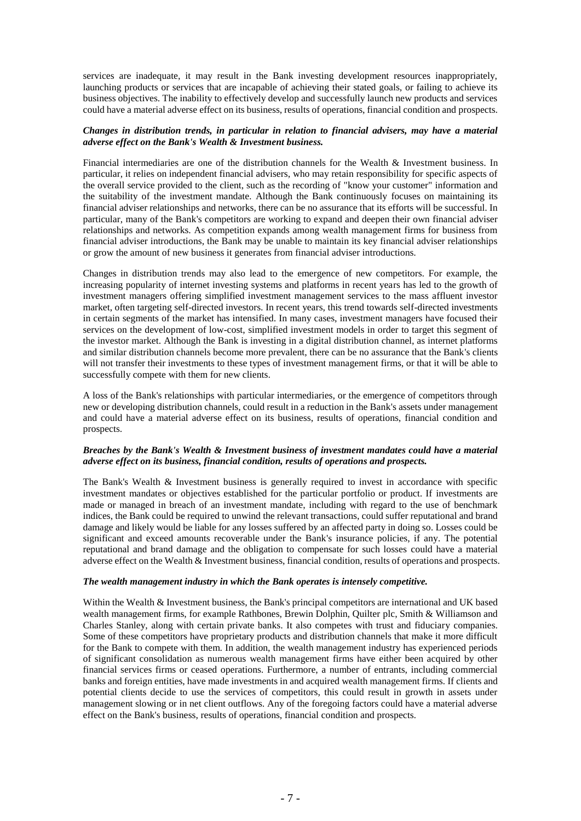services are inadequate, it may result in the Bank investing development resources inappropriately, launching products or services that are incapable of achieving their stated goals, or failing to achieve its business objectives. The inability to effectively develop and successfully launch new products and services could have a material adverse effect on its business, results of operations, financial condition and prospects.

#### *Changes in distribution trends, in particular in relation to financial advisers, may have a material adverse effect on the Bank's Wealth & Investment business.*

Financial intermediaries are one of the distribution channels for the Wealth & Investment business. In particular, it relies on independent financial advisers, who may retain responsibility for specific aspects of the overall service provided to the client, such as the recording of "know your customer" information and the suitability of the investment mandate. Although the Bank continuously focuses on maintaining its financial adviser relationships and networks, there can be no assurance that its efforts will be successful. In particular, many of the Bank's competitors are working to expand and deepen their own financial adviser relationships and networks. As competition expands among wealth management firms for business from financial adviser introductions, the Bank may be unable to maintain its key financial adviser relationships or grow the amount of new business it generates from financial adviser introductions.

Changes in distribution trends may also lead to the emergence of new competitors. For example, the increasing popularity of internet investing systems and platforms in recent years has led to the growth of investment managers offering simplified investment management services to the mass affluent investor market, often targeting self-directed investors. In recent years, this trend towards self-directed investments in certain segments of the market has intensified. In many cases, investment managers have focused their services on the development of low-cost, simplified investment models in order to target this segment of the investor market. Although the Bank is investing in a digital distribution channel, as internet platforms and similar distribution channels become more prevalent, there can be no assurance that the Bank's clients will not transfer their investments to these types of investment management firms, or that it will be able to successfully compete with them for new clients.

A loss of the Bank's relationships with particular intermediaries, or the emergence of competitors through new or developing distribution channels, could result in a reduction in the Bank's assets under management and could have a material adverse effect on its business, results of operations, financial condition and prospects.

#### *Breaches by the Bank's Wealth & Investment business of investment mandates could have a material adverse effect on its business, financial condition, results of operations and prospects.*

The Bank's Wealth & Investment business is generally required to invest in accordance with specific investment mandates or objectives established for the particular portfolio or product. If investments are made or managed in breach of an investment mandate, including with regard to the use of benchmark indices, the Bank could be required to unwind the relevant transactions, could suffer reputational and brand damage and likely would be liable for any losses suffered by an affected party in doing so. Losses could be significant and exceed amounts recoverable under the Bank's insurance policies, if any. The potential reputational and brand damage and the obligation to compensate for such losses could have a material adverse effect on the Wealth & Investment business, financial condition, results of operations and prospects.

#### *The wealth management industry in which the Bank operates is intensely competitive.*

Within the Wealth & Investment business, the Bank's principal competitors are international and UK based wealth management firms, for example Rathbones, Brewin Dolphin, Quilter plc, Smith & Williamson and Charles Stanley, along with certain private banks. It also competes with trust and fiduciary companies. Some of these competitors have proprietary products and distribution channels that make it more difficult for the Bank to compete with them. In addition, the wealth management industry has experienced periods of significant consolidation as numerous wealth management firms have either been acquired by other financial services firms or ceased operations. Furthermore, a number of entrants, including commercial banks and foreign entities, have made investments in and acquired wealth management firms. If clients and potential clients decide to use the services of competitors, this could result in growth in assets under management slowing or in net client outflows. Any of the foregoing factors could have a material adverse effect on the Bank's business, results of operations, financial condition and prospects.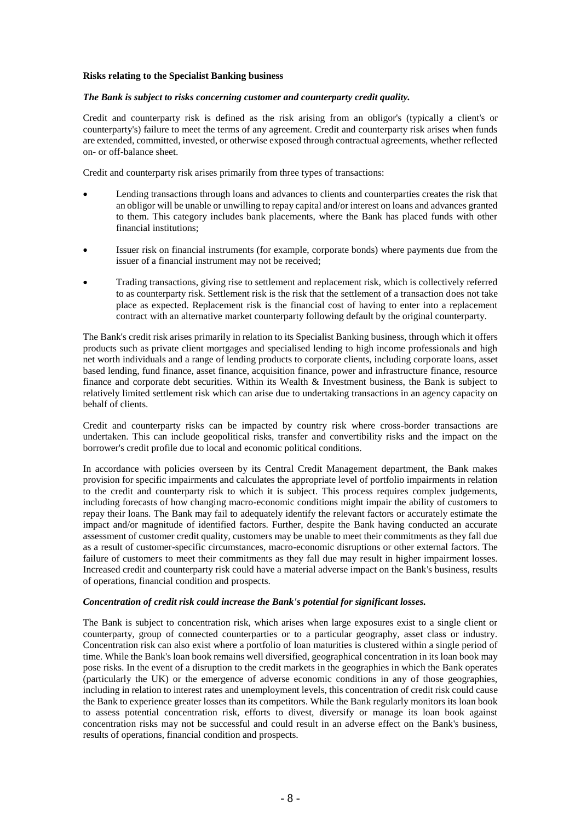## **Risks relating to the Specialist Banking business**

## *The Bank is subject to risks concerning customer and counterparty credit quality.*

Credit and counterparty risk is defined as the risk arising from an obligor's (typically a client's or counterparty's) failure to meet the terms of any agreement. Credit and counterparty risk arises when funds are extended, committed, invested, or otherwise exposed through contractual agreements, whether reflected on- or off-balance sheet.

Credit and counterparty risk arises primarily from three types of transactions:

- Lending transactions through loans and advances to clients and counterparties creates the risk that an obligor will be unable or unwilling to repay capital and/or interest on loans and advances granted to them. This category includes bank placements, where the Bank has placed funds with other financial institutions;
- Issuer risk on financial instruments (for example, corporate bonds) where payments due from the issuer of a financial instrument may not be received;
- Trading transactions, giving rise to settlement and replacement risk, which is collectively referred to as counterparty risk. Settlement risk is the risk that the settlement of a transaction does not take place as expected. Replacement risk is the financial cost of having to enter into a replacement contract with an alternative market counterparty following default by the original counterparty.

The Bank's credit risk arises primarily in relation to its Specialist Banking business, through which it offers products such as private client mortgages and specialised lending to high income professionals and high net worth individuals and a range of lending products to corporate clients, including corporate loans, asset based lending, fund finance, asset finance, acquisition finance, power and infrastructure finance, resource finance and corporate debt securities. Within its Wealth & Investment business, the Bank is subject to relatively limited settlement risk which can arise due to undertaking transactions in an agency capacity on behalf of clients.

Credit and counterparty risks can be impacted by country risk where cross-border transactions are undertaken. This can include geopolitical risks, transfer and convertibility risks and the impact on the borrower's credit profile due to local and economic political conditions.

In accordance with policies overseen by its Central Credit Management department, the Bank makes provision for specific impairments and calculates the appropriate level of portfolio impairments in relation to the credit and counterparty risk to which it is subject. This process requires complex judgements, including forecasts of how changing macro-economic conditions might impair the ability of customers to repay their loans. The Bank may fail to adequately identify the relevant factors or accurately estimate the impact and/or magnitude of identified factors. Further, despite the Bank having conducted an accurate assessment of customer credit quality, customers may be unable to meet their commitments as they fall due as a result of customer-specific circumstances, macro-economic disruptions or other external factors. The failure of customers to meet their commitments as they fall due may result in higher impairment losses. Increased credit and counterparty risk could have a material adverse impact on the Bank's business, results of operations, financial condition and prospects.

#### *Concentration of credit risk could increase the Bank's potential for significant losses.*

The Bank is subject to concentration risk, which arises when large exposures exist to a single client or counterparty, group of connected counterparties or to a particular geography, asset class or industry. Concentration risk can also exist where a portfolio of loan maturities is clustered within a single period of time. While the Bank's loan book remains well diversified, geographical concentration in its loan book may pose risks. In the event of a disruption to the credit markets in the geographies in which the Bank operates (particularly the UK) or the emergence of adverse economic conditions in any of those geographies, including in relation to interest rates and unemployment levels, this concentration of credit risk could cause the Bank to experience greater losses than its competitors. While the Bank regularly monitors its loan book to assess potential concentration risk, efforts to divest, diversify or manage its loan book against concentration risks may not be successful and could result in an adverse effect on the Bank's business, results of operations, financial condition and prospects.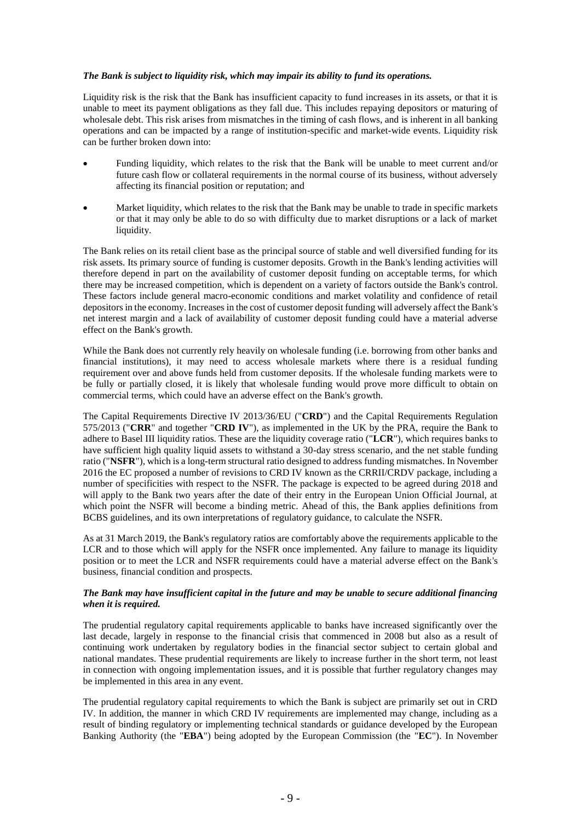## *The Bank is subject to liquidity risk, which may impair its ability to fund its operations.*

Liquidity risk is the risk that the Bank has insufficient capacity to fund increases in its assets, or that it is unable to meet its payment obligations as they fall due. This includes repaying depositors or maturing of wholesale debt. This risk arises from mismatches in the timing of cash flows, and is inherent in all banking operations and can be impacted by a range of institution-specific and market-wide events. Liquidity risk can be further broken down into:

- Funding liquidity, which relates to the risk that the Bank will be unable to meet current and/or future cash flow or collateral requirements in the normal course of its business, without adversely affecting its financial position or reputation; and
- Market liquidity, which relates to the risk that the Bank may be unable to trade in specific markets or that it may only be able to do so with difficulty due to market disruptions or a lack of market liquidity.

The Bank relies on its retail client base as the principal source of stable and well diversified funding for its risk assets. Its primary source of funding is customer deposits. Growth in the Bank's lending activities will therefore depend in part on the availability of customer deposit funding on acceptable terms, for which there may be increased competition, which is dependent on a variety of factors outside the Bank's control. These factors include general macro-economic conditions and market volatility and confidence of retail depositors in the economy. Increases in the cost of customer deposit funding will adversely affect the Bank's net interest margin and a lack of availability of customer deposit funding could have a material adverse effect on the Bank's growth.

While the Bank does not currently rely heavily on wholesale funding (*i.e. borrowing from other banks and* financial institutions), it may need to access wholesale markets where there is a residual funding requirement over and above funds held from customer deposits. If the wholesale funding markets were to be fully or partially closed, it is likely that wholesale funding would prove more difficult to obtain on commercial terms, which could have an adverse effect on the Bank's growth.

The Capital Requirements Directive IV 2013/36/EU ("**CRD**") and the Capital Requirements Regulation 575/2013 ("**CRR**" and together "**CRD IV**"), as implemented in the UK by the PRA, require the Bank to adhere to Basel III liquidity ratios. These are the liquidity coverage ratio ("**LCR**"), which requires banks to have sufficient high quality liquid assets to withstand a 30-day stress scenario, and the net stable funding ratio ("**NSFR**"), which is a long-term structural ratio designed to address funding mismatches. In November 2016 the EC proposed a number of revisions to CRD IV known as the CRRII/CRDV package, including a number of specificities with respect to the NSFR. The package is expected to be agreed during 2018 and will apply to the Bank two years after the date of their entry in the European Union Official Journal, at which point the NSFR will become a binding metric. Ahead of this, the Bank applies definitions from BCBS guidelines, and its own interpretations of regulatory guidance, to calculate the NSFR.

As at 31 March 2019, the Bank's regulatory ratios are comfortably above the requirements applicable to the LCR and to those which will apply for the NSFR once implemented. Any failure to manage its liquidity position or to meet the LCR and NSFR requirements could have a material adverse effect on the Bank's business, financial condition and prospects.

#### *The Bank may have insufficient capital in the future and may be unable to secure additional financing when it is required.*

The prudential regulatory capital requirements applicable to banks have increased significantly over the last decade, largely in response to the financial crisis that commenced in 2008 but also as a result of continuing work undertaken by regulatory bodies in the financial sector subject to certain global and national mandates. These prudential requirements are likely to increase further in the short term, not least in connection with ongoing implementation issues, and it is possible that further regulatory changes may be implemented in this area in any event.

The prudential regulatory capital requirements to which the Bank is subject are primarily set out in CRD IV. In addition, the manner in which CRD IV requirements are implemented may change, including as a result of binding regulatory or implementing technical standards or guidance developed by the European Banking Authority (the "**EBA**") being adopted by the European Commission (the "**EC**"). In November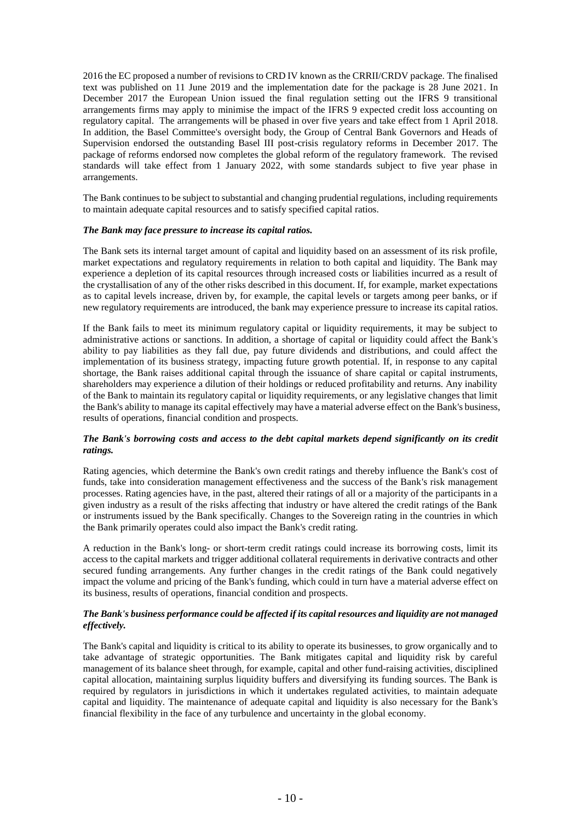2016 the EC proposed a number of revisions to CRD IV known as the CRRII/CRDV package. The finalised text was published on 11 June 2019 and the implementation date for the package is 28 June 2021. In December 2017 the European Union issued the final regulation setting out the IFRS 9 transitional arrangements firms may apply to minimise the impact of the IFRS 9 expected credit loss accounting on regulatory capital. The arrangements will be phased in over five years and take effect from 1 April 2018. In addition, the Basel Committee's oversight body, the Group of Central Bank Governors and Heads of Supervision endorsed the outstanding Basel III post-crisis regulatory reforms in December 2017. The package of reforms endorsed now completes the global reform of the regulatory framework. The revised standards will take effect from 1 January 2022, with some standards subject to five year phase in arrangements.

The Bank continues to be subject to substantial and changing prudential regulations, including requirements to maintain adequate capital resources and to satisfy specified capital ratios.

## *The Bank may face pressure to increase its capital ratios.*

The Bank sets its internal target amount of capital and liquidity based on an assessment of its risk profile, market expectations and regulatory requirements in relation to both capital and liquidity. The Bank may experience a depletion of its capital resources through increased costs or liabilities incurred as a result of the crystallisation of any of the other risks described in this document. If, for example, market expectations as to capital levels increase, driven by, for example, the capital levels or targets among peer banks, or if new regulatory requirements are introduced, the bank may experience pressure to increase its capital ratios.

If the Bank fails to meet its minimum regulatory capital or liquidity requirements, it may be subject to administrative actions or sanctions. In addition, a shortage of capital or liquidity could affect the Bank's ability to pay liabilities as they fall due, pay future dividends and distributions, and could affect the implementation of its business strategy, impacting future growth potential. If, in response to any capital shortage, the Bank raises additional capital through the issuance of share capital or capital instruments, shareholders may experience a dilution of their holdings or reduced profitability and returns. Any inability of the Bank to maintain its regulatory capital or liquidity requirements, or any legislative changes that limit the Bank's ability to manage its capital effectively may have a material adverse effect on the Bank's business, results of operations, financial condition and prospects.

## *The Bank's borrowing costs and access to the debt capital markets depend significantly on its credit ratings.*

Rating agencies, which determine the Bank's own credit ratings and thereby influence the Bank's cost of funds, take into consideration management effectiveness and the success of the Bank's risk management processes. Rating agencies have, in the past, altered their ratings of all or a majority of the participants in a given industry as a result of the risks affecting that industry or have altered the credit ratings of the Bank or instruments issued by the Bank specifically. Changes to the Sovereign rating in the countries in which the Bank primarily operates could also impact the Bank's credit rating.

A reduction in the Bank's long- or short-term credit ratings could increase its borrowing costs, limit its access to the capital markets and trigger additional collateral requirements in derivative contracts and other secured funding arrangements. Any further changes in the credit ratings of the Bank could negatively impact the volume and pricing of the Bank's funding, which could in turn have a material adverse effect on its business, results of operations, financial condition and prospects.

## *The Bank's business performance could be affected if its capital resources and liquidity are not managed effectively.*

The Bank's capital and liquidity is critical to its ability to operate its businesses, to grow organically and to take advantage of strategic opportunities. The Bank mitigates capital and liquidity risk by careful management of its balance sheet through, for example, capital and other fund-raising activities, disciplined capital allocation, maintaining surplus liquidity buffers and diversifying its funding sources. The Bank is required by regulators in jurisdictions in which it undertakes regulated activities, to maintain adequate capital and liquidity. The maintenance of adequate capital and liquidity is also necessary for the Bank's financial flexibility in the face of any turbulence and uncertainty in the global economy.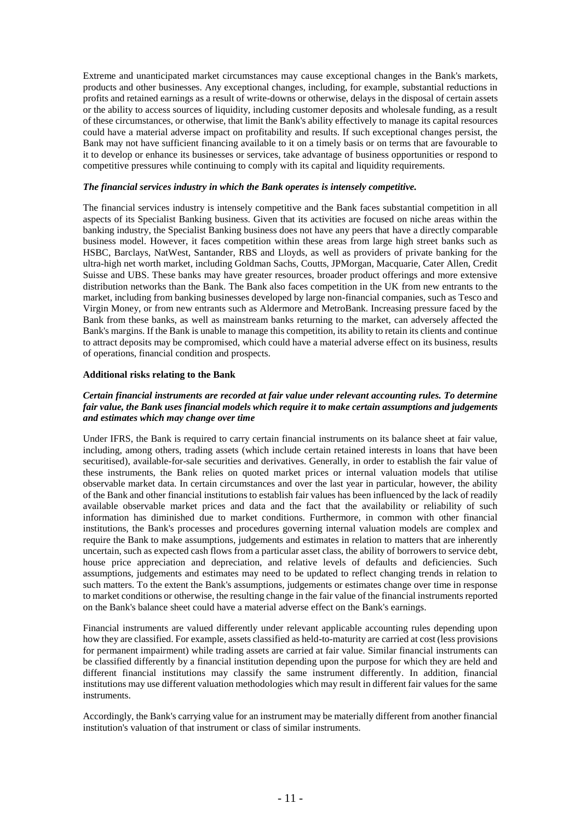Extreme and unanticipated market circumstances may cause exceptional changes in the Bank's markets, products and other businesses. Any exceptional changes, including, for example, substantial reductions in profits and retained earnings as a result of write-downs or otherwise, delays in the disposal of certain assets or the ability to access sources of liquidity, including customer deposits and wholesale funding, as a result of these circumstances, or otherwise, that limit the Bank's ability effectively to manage its capital resources could have a material adverse impact on profitability and results. If such exceptional changes persist, the Bank may not have sufficient financing available to it on a timely basis or on terms that are favourable to it to develop or enhance its businesses or services, take advantage of business opportunities or respond to competitive pressures while continuing to comply with its capital and liquidity requirements.

## *The financial services industry in which the Bank operates is intensely competitive.*

The financial services industry is intensely competitive and the Bank faces substantial competition in all aspects of its Specialist Banking business. Given that its activities are focused on niche areas within the banking industry, the Specialist Banking business does not have any peers that have a directly comparable business model. However, it faces competition within these areas from large high street banks such as HSBC, Barclays, NatWest, Santander, RBS and Lloyds, as well as providers of private banking for the ultra-high net worth market, including Goldman Sachs, Coutts, JPMorgan, Macquarie, Cater Allen, Credit Suisse and UBS. These banks may have greater resources, broader product offerings and more extensive distribution networks than the Bank. The Bank also faces competition in the UK from new entrants to the market, including from banking businesses developed by large non-financial companies, such as Tesco and Virgin Money, or from new entrants such as Aldermore and MetroBank. Increasing pressure faced by the Bank from these banks, as well as mainstream banks returning to the market, can adversely affected the Bank's margins. If the Bank is unable to manage this competition, its ability to retain its clients and continue to attract deposits may be compromised, which could have a material adverse effect on its business, results of operations, financial condition and prospects.

#### **Additional risks relating to the Bank**

## *Certain financial instruments are recorded at fair value under relevant accounting rules. To determine fair value, the Bank uses financial models which require it to make certain assumptions and judgements and estimates which may change over time*

Under IFRS, the Bank is required to carry certain financial instruments on its balance sheet at fair value, including, among others, trading assets (which include certain retained interests in loans that have been securitised), available-for-sale securities and derivatives. Generally, in order to establish the fair value of these instruments, the Bank relies on quoted market prices or internal valuation models that utilise observable market data. In certain circumstances and over the last year in particular, however, the ability of the Bank and other financial institutions to establish fair values has been influenced by the lack of readily available observable market prices and data and the fact that the availability or reliability of such information has diminished due to market conditions. Furthermore, in common with other financial institutions, the Bank's processes and procedures governing internal valuation models are complex and require the Bank to make assumptions, judgements and estimates in relation to matters that are inherently uncertain, such as expected cash flows from a particular asset class, the ability of borrowers to service debt, house price appreciation and depreciation, and relative levels of defaults and deficiencies. Such assumptions, judgements and estimates may need to be updated to reflect changing trends in relation to such matters. To the extent the Bank's assumptions, judgements or estimates change over time in response to market conditions or otherwise, the resulting change in the fair value of the financial instruments reported on the Bank's balance sheet could have a material adverse effect on the Bank's earnings.

Financial instruments are valued differently under relevant applicable accounting rules depending upon how they are classified. For example, assets classified as held-to-maturity are carried at cost (less provisions for permanent impairment) while trading assets are carried at fair value. Similar financial instruments can be classified differently by a financial institution depending upon the purpose for which they are held and different financial institutions may classify the same instrument differently. In addition, financial institutions may use different valuation methodologies which may result in different fair values for the same instruments.

Accordingly, the Bank's carrying value for an instrument may be materially different from another financial institution's valuation of that instrument or class of similar instruments.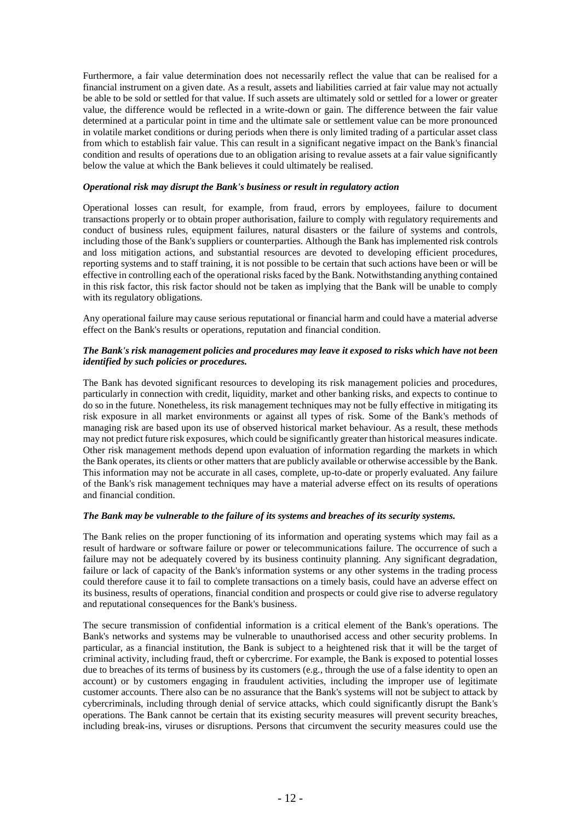Furthermore, a fair value determination does not necessarily reflect the value that can be realised for a financial instrument on a given date. As a result, assets and liabilities carried at fair value may not actually be able to be sold or settled for that value. If such assets are ultimately sold or settled for a lower or greater value, the difference would be reflected in a write-down or gain. The difference between the fair value determined at a particular point in time and the ultimate sale or settlement value can be more pronounced in volatile market conditions or during periods when there is only limited trading of a particular asset class from which to establish fair value. This can result in a significant negative impact on the Bank's financial condition and results of operations due to an obligation arising to revalue assets at a fair value significantly below the value at which the Bank believes it could ultimately be realised.

#### *Operational risk may disrupt the Bank's business or result in regulatory action*

Operational losses can result, for example, from fraud, errors by employees, failure to document transactions properly or to obtain proper authorisation, failure to comply with regulatory requirements and conduct of business rules, equipment failures, natural disasters or the failure of systems and controls, including those of the Bank's suppliers or counterparties. Although the Bank has implemented risk controls and loss mitigation actions, and substantial resources are devoted to developing efficient procedures, reporting systems and to staff training, it is not possible to be certain that such actions have been or will be effective in controlling each of the operational risks faced by the Bank. Notwithstanding anything contained in this risk factor, this risk factor should not be taken as implying that the Bank will be unable to comply with its regulatory obligations.

Any operational failure may cause serious reputational or financial harm and could have a material adverse effect on the Bank's results or operations, reputation and financial condition.

#### *The Bank's risk management policies and procedures may leave it exposed to risks which have not been identified by such policies or procedures.*

The Bank has devoted significant resources to developing its risk management policies and procedures, particularly in connection with credit, liquidity, market and other banking risks, and expects to continue to do so in the future. Nonetheless, its risk management techniques may not be fully effective in mitigating its risk exposure in all market environments or against all types of risk. Some of the Bank's methods of managing risk are based upon its use of observed historical market behaviour. As a result, these methods may not predict future risk exposures, which could be significantly greater than historical measures indicate. Other risk management methods depend upon evaluation of information regarding the markets in which the Bank operates, its clients or other matters that are publicly available or otherwise accessible by the Bank. This information may not be accurate in all cases, complete, up-to-date or properly evaluated. Any failure of the Bank's risk management techniques may have a material adverse effect on its results of operations and financial condition.

## *The Bank may be vulnerable to the failure of its systems and breaches of its security systems.*

The Bank relies on the proper functioning of its information and operating systems which may fail as a result of hardware or software failure or power or telecommunications failure. The occurrence of such a failure may not be adequately covered by its business continuity planning. Any significant degradation, failure or lack of capacity of the Bank's information systems or any other systems in the trading process could therefore cause it to fail to complete transactions on a timely basis, could have an adverse effect on its business, results of operations, financial condition and prospects or could give rise to adverse regulatory and reputational consequences for the Bank's business.

The secure transmission of confidential information is a critical element of the Bank's operations. The Bank's networks and systems may be vulnerable to unauthorised access and other security problems. In particular, as a financial institution, the Bank is subject to a heightened risk that it will be the target of criminal activity, including fraud, theft or cybercrime. For example, the Bank is exposed to potential losses due to breaches of its terms of business by its customers (e.g., through the use of a false identity to open an account) or by customers engaging in fraudulent activities, including the improper use of legitimate customer accounts. There also can be no assurance that the Bank's systems will not be subject to attack by cybercriminals, including through denial of service attacks, which could significantly disrupt the Bank's operations. The Bank cannot be certain that its existing security measures will prevent security breaches, including break-ins, viruses or disruptions. Persons that circumvent the security measures could use the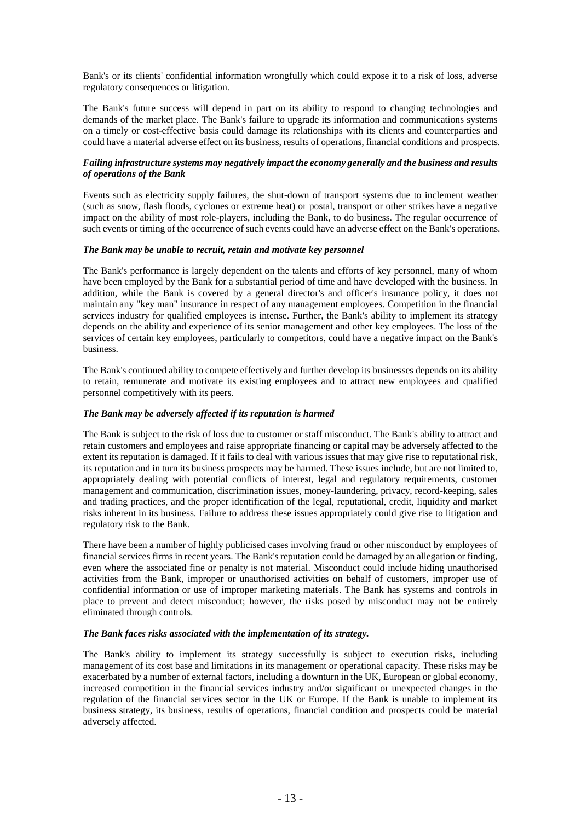Bank's or its clients' confidential information wrongfully which could expose it to a risk of loss, adverse regulatory consequences or litigation.

The Bank's future success will depend in part on its ability to respond to changing technologies and demands of the market place. The Bank's failure to upgrade its information and communications systems on a timely or cost-effective basis could damage its relationships with its clients and counterparties and could have a material adverse effect on its business, results of operations, financial conditions and prospects.

## *Failing infrastructure systems may negatively impact the economy generally and the business and results of operations of the Bank*

Events such as electricity supply failures, the shut-down of transport systems due to inclement weather (such as snow, flash floods, cyclones or extreme heat) or postal, transport or other strikes have a negative impact on the ability of most role-players, including the Bank, to do business. The regular occurrence of such events or timing of the occurrence of such events could have an adverse effect on the Bank's operations.

## *The Bank may be unable to recruit, retain and motivate key personnel*

The Bank's performance is largely dependent on the talents and efforts of key personnel, many of whom have been employed by the Bank for a substantial period of time and have developed with the business. In addition, while the Bank is covered by a general director's and officer's insurance policy, it does not maintain any "key man" insurance in respect of any management employees. Competition in the financial services industry for qualified employees is intense. Further, the Bank's ability to implement its strategy depends on the ability and experience of its senior management and other key employees. The loss of the services of certain key employees, particularly to competitors, could have a negative impact on the Bank's business.

The Bank's continued ability to compete effectively and further develop its businesses depends on its ability to retain, remunerate and motivate its existing employees and to attract new employees and qualified personnel competitively with its peers.

## *The Bank may be adversely affected if its reputation is harmed*

The Bank is subject to the risk of loss due to customer or staff misconduct. The Bank's ability to attract and retain customers and employees and raise appropriate financing or capital may be adversely affected to the extent its reputation is damaged. If it fails to deal with various issues that may give rise to reputational risk, its reputation and in turn its business prospects may be harmed. These issues include, but are not limited to, appropriately dealing with potential conflicts of interest, legal and regulatory requirements, customer management and communication, discrimination issues, money-laundering, privacy, record-keeping, sales and trading practices, and the proper identification of the legal, reputational, credit, liquidity and market risks inherent in its business. Failure to address these issues appropriately could give rise to litigation and regulatory risk to the Bank.

There have been a number of highly publicised cases involving fraud or other misconduct by employees of financial services firms in recent years. The Bank's reputation could be damaged by an allegation or finding, even where the associated fine or penalty is not material. Misconduct could include hiding unauthorised activities from the Bank, improper or unauthorised activities on behalf of customers, improper use of confidential information or use of improper marketing materials. The Bank has systems and controls in place to prevent and detect misconduct; however, the risks posed by misconduct may not be entirely eliminated through controls.

## *The Bank faces risks associated with the implementation of its strategy.*

The Bank's ability to implement its strategy successfully is subject to execution risks, including management of its cost base and limitations in its management or operational capacity. These risks may be exacerbated by a number of external factors, including a downturn in the UK, European or global economy, increased competition in the financial services industry and/or significant or unexpected changes in the regulation of the financial services sector in the UK or Europe. If the Bank is unable to implement its business strategy, its business, results of operations, financial condition and prospects could be material adversely affected.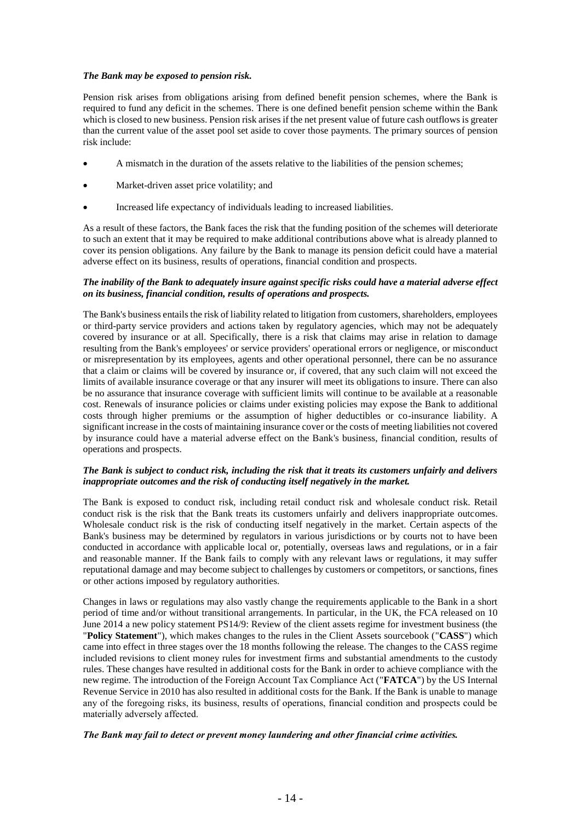## *The Bank may be exposed to pension risk.*

Pension risk arises from obligations arising from defined benefit pension schemes, where the Bank is required to fund any deficit in the schemes. There is one defined benefit pension scheme within the Bank which is closed to new business. Pension risk arises if the net present value of future cash outflows is greater than the current value of the asset pool set aside to cover those payments. The primary sources of pension risk include:

- A mismatch in the duration of the assets relative to the liabilities of the pension schemes;
- Market-driven asset price volatility; and
- Increased life expectancy of individuals leading to increased liabilities.

As a result of these factors, the Bank faces the risk that the funding position of the schemes will deteriorate to such an extent that it may be required to make additional contributions above what is already planned to cover its pension obligations. Any failure by the Bank to manage its pension deficit could have a material adverse effect on its business, results of operations, financial condition and prospects.

## *The inability of the Bank to adequately insure against specific risks could have a material adverse effect on its business, financial condition, results of operations and prospects.*

The Bank's business entails the risk of liability related to litigation from customers, shareholders, employees or third-party service providers and actions taken by regulatory agencies, which may not be adequately covered by insurance or at all. Specifically, there is a risk that claims may arise in relation to damage resulting from the Bank's employees' or service providers' operational errors or negligence, or misconduct or misrepresentation by its employees, agents and other operational personnel, there can be no assurance that a claim or claims will be covered by insurance or, if covered, that any such claim will not exceed the limits of available insurance coverage or that any insurer will meet its obligations to insure. There can also be no assurance that insurance coverage with sufficient limits will continue to be available at a reasonable cost. Renewals of insurance policies or claims under existing policies may expose the Bank to additional costs through higher premiums or the assumption of higher deductibles or co-insurance liability. A significant increase in the costs of maintaining insurance cover or the costs of meeting liabilities not covered by insurance could have a material adverse effect on the Bank's business, financial condition, results of operations and prospects.

## *The Bank is subject to conduct risk, including the risk that it treats its customers unfairly and delivers inappropriate outcomes and the risk of conducting itself negatively in the market.*

The Bank is exposed to conduct risk, including retail conduct risk and wholesale conduct risk. Retail conduct risk is the risk that the Bank treats its customers unfairly and delivers inappropriate outcomes. Wholesale conduct risk is the risk of conducting itself negatively in the market. Certain aspects of the Bank's business may be determined by regulators in various jurisdictions or by courts not to have been conducted in accordance with applicable local or, potentially, overseas laws and regulations, or in a fair and reasonable manner. If the Bank fails to comply with any relevant laws or regulations, it may suffer reputational damage and may become subject to challenges by customers or competitors, or sanctions, fines or other actions imposed by regulatory authorities.

Changes in laws or regulations may also vastly change the requirements applicable to the Bank in a short period of time and/or without transitional arrangements. In particular, in the UK, the FCA released on 10 June 2014 a new policy statement PS14/9: Review of the client assets regime for investment business (the "**Policy Statement**"), which makes changes to the rules in the Client Assets sourcebook ("**CASS**") which came into effect in three stages over the 18 months following the release. The changes to the CASS regime included revisions to client money rules for investment firms and substantial amendments to the custody rules. These changes have resulted in additional costs for the Bank in order to achieve compliance with the new regime. The introduction of the Foreign Account Tax Compliance Act ("**FATCA**") by the US Internal Revenue Service in 2010 has also resulted in additional costs for the Bank. If the Bank is unable to manage any of the foregoing risks, its business, results of operations, financial condition and prospects could be materially adversely affected.

## *The Bank may fail to detect or prevent money laundering and other financial crime activities.*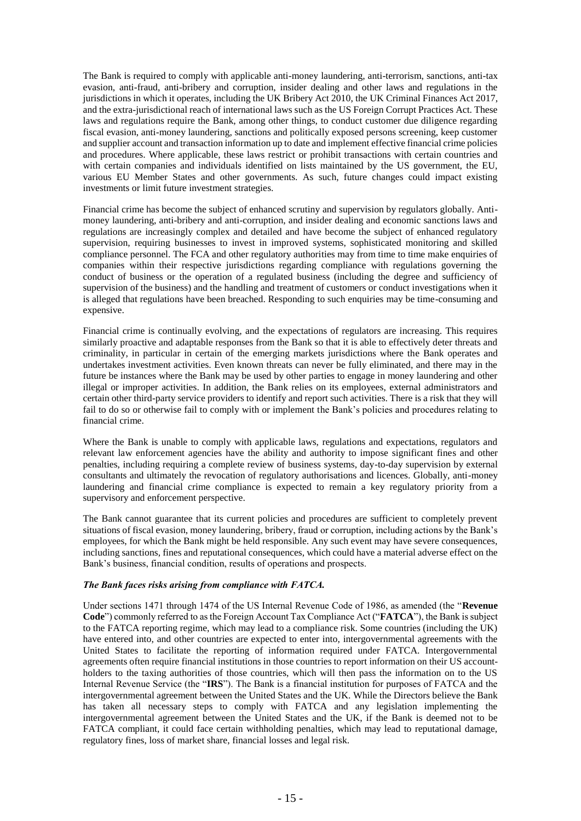The Bank is required to comply with applicable anti-money laundering, anti-terrorism, sanctions, anti-tax evasion, anti-fraud, anti-bribery and corruption, insider dealing and other laws and regulations in the jurisdictions in which it operates, including the UK Bribery Act 2010, the UK Criminal Finances Act 2017, and the extra-jurisdictional reach of international laws such as the US Foreign Corrupt Practices Act. These laws and regulations require the Bank, among other things, to conduct customer due diligence regarding fiscal evasion, anti-money laundering, sanctions and politically exposed persons screening, keep customer and supplier account and transaction information up to date and implement effective financial crime policies and procedures. Where applicable, these laws restrict or prohibit transactions with certain countries and with certain companies and individuals identified on lists maintained by the US government, the EU, various EU Member States and other governments. As such, future changes could impact existing investments or limit future investment strategies.

Financial crime has become the subject of enhanced scrutiny and supervision by regulators globally. Antimoney laundering, anti-bribery and anti-corruption, and insider dealing and economic sanctions laws and regulations are increasingly complex and detailed and have become the subject of enhanced regulatory supervision, requiring businesses to invest in improved systems, sophisticated monitoring and skilled compliance personnel. The FCA and other regulatory authorities may from time to time make enquiries of companies within their respective jurisdictions regarding compliance with regulations governing the conduct of business or the operation of a regulated business (including the degree and sufficiency of supervision of the business) and the handling and treatment of customers or conduct investigations when it is alleged that regulations have been breached. Responding to such enquiries may be time-consuming and expensive.

Financial crime is continually evolving, and the expectations of regulators are increasing. This requires similarly proactive and adaptable responses from the Bank so that it is able to effectively deter threats and criminality, in particular in certain of the emerging markets jurisdictions where the Bank operates and undertakes investment activities. Even known threats can never be fully eliminated, and there may in the future be instances where the Bank may be used by other parties to engage in money laundering and other illegal or improper activities. In addition, the Bank relies on its employees, external administrators and certain other third-party service providers to identify and report such activities. There is a risk that they will fail to do so or otherwise fail to comply with or implement the Bank's policies and procedures relating to financial crime.

Where the Bank is unable to comply with applicable laws, regulations and expectations, regulators and relevant law enforcement agencies have the ability and authority to impose significant fines and other penalties, including requiring a complete review of business systems, day-to-day supervision by external consultants and ultimately the revocation of regulatory authorisations and licences. Globally, anti-money laundering and financial crime compliance is expected to remain a key regulatory priority from a supervisory and enforcement perspective.

The Bank cannot guarantee that its current policies and procedures are sufficient to completely prevent situations of fiscal evasion, money laundering, bribery, fraud or corruption, including actions by the Bank's employees, for which the Bank might be held responsible. Any such event may have severe consequences, including sanctions, fines and reputational consequences, which could have a material adverse effect on the Bank's business, financial condition, results of operations and prospects.

## *The Bank faces risks arising from compliance with FATCA.*

Under sections 1471 through 1474 of the US Internal Revenue Code of 1986, as amended (the "**Revenue Code**") commonly referred to as the Foreign Account Tax Compliance Act ("**FATCA**"), the Bank is subject to the FATCA reporting regime, which may lead to a compliance risk. Some countries (including the UK) have entered into, and other countries are expected to enter into, intergovernmental agreements with the United States to facilitate the reporting of information required under FATCA. Intergovernmental agreements often require financial institutions in those countries to report information on their US accountholders to the taxing authorities of those countries, which will then pass the information on to the US Internal Revenue Service (the "**IRS**"). The Bank is a financial institution for purposes of FATCA and the intergovernmental agreement between the United States and the UK. While the Directors believe the Bank has taken all necessary steps to comply with FATCA and any legislation implementing the intergovernmental agreement between the United States and the UK, if the Bank is deemed not to be FATCA compliant, it could face certain withholding penalties, which may lead to reputational damage, regulatory fines, loss of market share, financial losses and legal risk.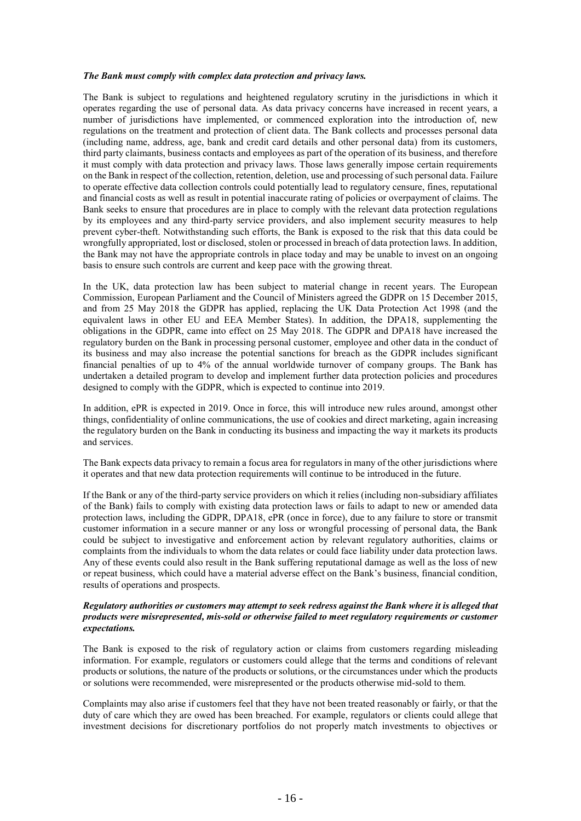#### *The Bank must comply with complex data protection and privacy laws.*

The Bank is subject to regulations and heightened regulatory scrutiny in the jurisdictions in which it operates regarding the use of personal data. As data privacy concerns have increased in recent years, a number of jurisdictions have implemented, or commenced exploration into the introduction of, new regulations on the treatment and protection of client data. The Bank collects and processes personal data (including name, address, age, bank and credit card details and other personal data) from its customers, third party claimants, business contacts and employees as part of the operation of its business, and therefore it must comply with data protection and privacy laws. Those laws generally impose certain requirements on the Bank in respect of the collection, retention, deletion, use and processing of such personal data. Failure to operate effective data collection controls could potentially lead to regulatory censure, fines, reputational and financial costs as well as result in potential inaccurate rating of policies or overpayment of claims. The Bank seeks to ensure that procedures are in place to comply with the relevant data protection regulations by its employees and any third-party service providers, and also implement security measures to help prevent cyber-theft. Notwithstanding such efforts, the Bank is exposed to the risk that this data could be wrongfully appropriated, lost or disclosed, stolen or processed in breach of data protection laws. In addition, the Bank may not have the appropriate controls in place today and may be unable to invest on an ongoing basis to ensure such controls are current and keep pace with the growing threat.

In the UK, data protection law has been subject to material change in recent years. The European Commission, European Parliament and the Council of Ministers agreed the GDPR on 15 December 2015, and from 25 May 2018 the GDPR has applied, replacing the UK Data Protection Act 1998 (and the equivalent laws in other EU and EEA Member States). In addition, the DPA18, supplementing the obligations in the GDPR, came into effect on 25 May 2018. The GDPR and DPA18 have increased the regulatory burden on the Bank in processing personal customer, employee and other data in the conduct of its business and may also increase the potential sanctions for breach as the GDPR includes significant financial penalties of up to 4% of the annual worldwide turnover of company groups. The Bank has undertaken a detailed program to develop and implement further data protection policies and procedures designed to comply with the GDPR, which is expected to continue into 2019.

In addition, ePR is expected in 2019. Once in force, this will introduce new rules around, amongst other things, confidentiality of online communications, the use of cookies and direct marketing, again increasing the regulatory burden on the Bank in conducting its business and impacting the way it markets its products and services.

The Bank expects data privacy to remain a focus area for regulators in many of the other jurisdictions where it operates and that new data protection requirements will continue to be introduced in the future.

If the Bank or any of the third-party service providers on which it relies (including non-subsidiary affiliates of the Bank) fails to comply with existing data protection laws or fails to adapt to new or amended data protection laws, including the GDPR, DPA18, ePR (once in force), due to any failure to store or transmit customer information in a secure manner or any loss or wrongful processing of personal data, the Bank could be subject to investigative and enforcement action by relevant regulatory authorities, claims or complaints from the individuals to whom the data relates or could face liability under data protection laws. Any of these events could also result in the Bank suffering reputational damage as well as the loss of new or repeat business, which could have a material adverse effect on the Bank's business, financial condition, results of operations and prospects.

## *Regulatory authorities or customers may attempt to seek redress against the Bank where it is alleged that products were misrepresented, mis-sold or otherwise failed to meet regulatory requirements or customer expectations.*

The Bank is exposed to the risk of regulatory action or claims from customers regarding misleading information. For example, regulators or customers could allege that the terms and conditions of relevant products or solutions, the nature of the products or solutions, or the circumstances under which the products or solutions were recommended, were misrepresented or the products otherwise mid-sold to them.

Complaints may also arise if customers feel that they have not been treated reasonably or fairly, or that the duty of care which they are owed has been breached. For example, regulators or clients could allege that investment decisions for discretionary portfolios do not properly match investments to objectives or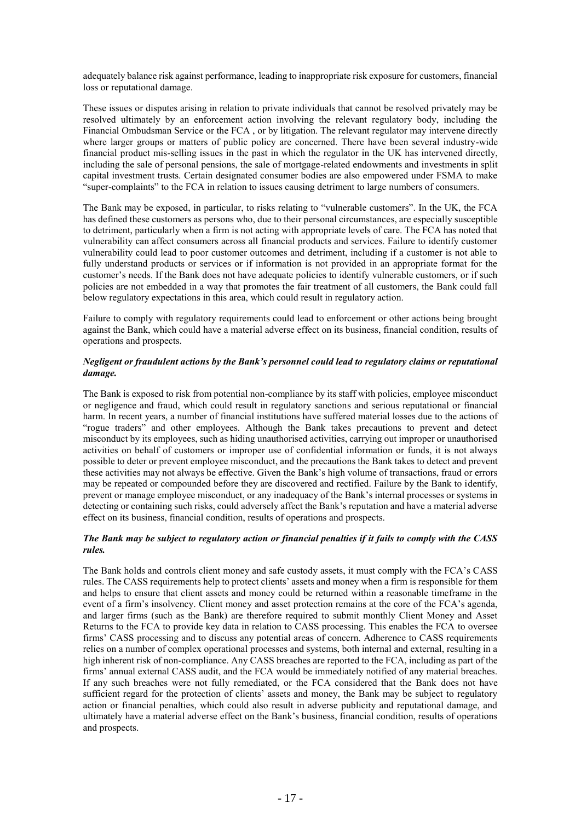adequately balance risk against performance, leading to inappropriate risk exposure for customers, financial loss or reputational damage.

These issues or disputes arising in relation to private individuals that cannot be resolved privately may be resolved ultimately by an enforcement action involving the relevant regulatory body, including the Financial Ombudsman Service or the FCA , or by litigation. The relevant regulator may intervene directly where larger groups or matters of public policy are concerned. There have been several industry-wide financial product mis-selling issues in the past in which the regulator in the UK has intervened directly, including the sale of personal pensions, the sale of mortgage-related endowments and investments in split capital investment trusts. Certain designated consumer bodies are also empowered under FSMA to make "super-complaints" to the FCA in relation to issues causing detriment to large numbers of consumers.

The Bank may be exposed, in particular, to risks relating to "vulnerable customers". In the UK, the FCA has defined these customers as persons who, due to their personal circumstances, are especially susceptible to detriment, particularly when a firm is not acting with appropriate levels of care. The FCA has noted that vulnerability can affect consumers across all financial products and services. Failure to identify customer vulnerability could lead to poor customer outcomes and detriment, including if a customer is not able to fully understand products or services or if information is not provided in an appropriate format for the customer's needs. If the Bank does not have adequate policies to identify vulnerable customers, or if such policies are not embedded in a way that promotes the fair treatment of all customers, the Bank could fall below regulatory expectations in this area, which could result in regulatory action.

Failure to comply with regulatory requirements could lead to enforcement or other actions being brought against the Bank, which could have a material adverse effect on its business, financial condition, results of operations and prospects.

## *Negligent or fraudulent actions by the Bank's personnel could lead to regulatory claims or reputational damage.*

The Bank is exposed to risk from potential non-compliance by its staff with policies, employee misconduct or negligence and fraud, which could result in regulatory sanctions and serious reputational or financial harm. In recent years, a number of financial institutions have suffered material losses due to the actions of "rogue traders" and other employees. Although the Bank takes precautions to prevent and detect misconduct by its employees, such as hiding unauthorised activities, carrying out improper or unauthorised activities on behalf of customers or improper use of confidential information or funds, it is not always possible to deter or prevent employee misconduct, and the precautions the Bank takes to detect and prevent these activities may not always be effective. Given the Bank's high volume of transactions, fraud or errors may be repeated or compounded before they are discovered and rectified. Failure by the Bank to identify, prevent or manage employee misconduct, or any inadequacy of the Bank's internal processes or systems in detecting or containing such risks, could adversely affect the Bank's reputation and have a material adverse effect on its business, financial condition, results of operations and prospects.

## *The Bank may be subject to regulatory action or financial penalties if it fails to comply with the CASS rules.*

The Bank holds and controls client money and safe custody assets, it must comply with the FCA's CASS rules. The CASS requirements help to protect clients' assets and money when a firm is responsible for them and helps to ensure that client assets and money could be returned within a reasonable timeframe in the event of a firm's insolvency. Client money and asset protection remains at the core of the FCA's agenda, and larger firms (such as the Bank) are therefore required to submit monthly Client Money and Asset Returns to the FCA to provide key data in relation to CASS processing. This enables the FCA to oversee firms' CASS processing and to discuss any potential areas of concern. Adherence to CASS requirements relies on a number of complex operational processes and systems, both internal and external, resulting in a high inherent risk of non-compliance. Any CASS breaches are reported to the FCA, including as part of the firms' annual external CASS audit, and the FCA would be immediately notified of any material breaches. If any such breaches were not fully remediated, or the FCA considered that the Bank does not have sufficient regard for the protection of clients' assets and money, the Bank may be subject to regulatory action or financial penalties, which could also result in adverse publicity and reputational damage, and ultimately have a material adverse effect on the Bank's business, financial condition, results of operations and prospects.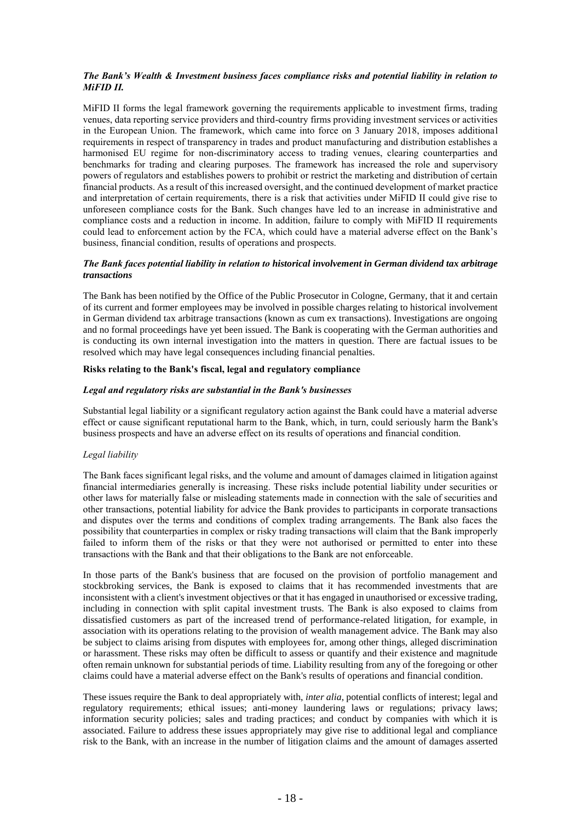## *The Bank's Wealth & Investment business faces compliance risks and potential liability in relation to MiFID II.*

MiFID II forms the legal framework governing the requirements applicable to investment firms, trading venues, data reporting service providers and third-country firms providing investment services or activities in the European Union. The framework, which came into force on 3 January 2018, imposes additional requirements in respect of transparency in trades and product manufacturing and distribution establishes a harmonised EU regime for non-discriminatory access to trading venues, clearing counterparties and benchmarks for trading and clearing purposes. The framework has increased the role and supervisory powers of regulators and establishes powers to prohibit or restrict the marketing and distribution of certain financial products. As a result of this increased oversight, and the continued development of market practice and interpretation of certain requirements, there is a risk that activities under MiFID II could give rise to unforeseen compliance costs for the Bank. Such changes have led to an increase in administrative and compliance costs and a reduction in income. In addition, failure to comply with MiFID II requirements could lead to enforcement action by the FCA, which could have a material adverse effect on the Bank's business, financial condition, results of operations and prospects.

## *The Bank faces potential liability in relation to historical involvement in German dividend tax arbitrage transactions*

The Bank has been notified by the Office of the Public Prosecutor in Cologne, Germany, that it and certain of its current and former employees may be involved in possible charges relating to historical involvement in German dividend tax arbitrage transactions (known as cum ex transactions). Investigations are ongoing and no formal proceedings have yet been issued. The Bank is cooperating with the German authorities and is conducting its own internal investigation into the matters in question. There are factual issues to be resolved which may have legal consequences including financial penalties.

## **Risks relating to the Bank's fiscal, legal and regulatory compliance**

#### *Legal and regulatory risks are substantial in the Bank's businesses*

Substantial legal liability or a significant regulatory action against the Bank could have a material adverse effect or cause significant reputational harm to the Bank, which, in turn, could seriously harm the Bank's business prospects and have an adverse effect on its results of operations and financial condition.

## *Legal liability*

The Bank faces significant legal risks, and the volume and amount of damages claimed in litigation against financial intermediaries generally is increasing. These risks include potential liability under securities or other laws for materially false or misleading statements made in connection with the sale of securities and other transactions, potential liability for advice the Bank provides to participants in corporate transactions and disputes over the terms and conditions of complex trading arrangements. The Bank also faces the possibility that counterparties in complex or risky trading transactions will claim that the Bank improperly failed to inform them of the risks or that they were not authorised or permitted to enter into these transactions with the Bank and that their obligations to the Bank are not enforceable.

In those parts of the Bank's business that are focused on the provision of portfolio management and stockbroking services, the Bank is exposed to claims that it has recommended investments that are inconsistent with a client's investment objectives or that it has engaged in unauthorised or excessive trading, including in connection with split capital investment trusts. The Bank is also exposed to claims from dissatisfied customers as part of the increased trend of performance-related litigation, for example, in association with its operations relating to the provision of wealth management advice. The Bank may also be subject to claims arising from disputes with employees for, among other things, alleged discrimination or harassment. These risks may often be difficult to assess or quantify and their existence and magnitude often remain unknown for substantial periods of time. Liability resulting from any of the foregoing or other claims could have a material adverse effect on the Bank's results of operations and financial condition.

These issues require the Bank to deal appropriately with, *inter alia*, potential conflicts of interest; legal and regulatory requirements; ethical issues; anti-money laundering laws or regulations; privacy laws; information security policies; sales and trading practices; and conduct by companies with which it is associated. Failure to address these issues appropriately may give rise to additional legal and compliance risk to the Bank, with an increase in the number of litigation claims and the amount of damages asserted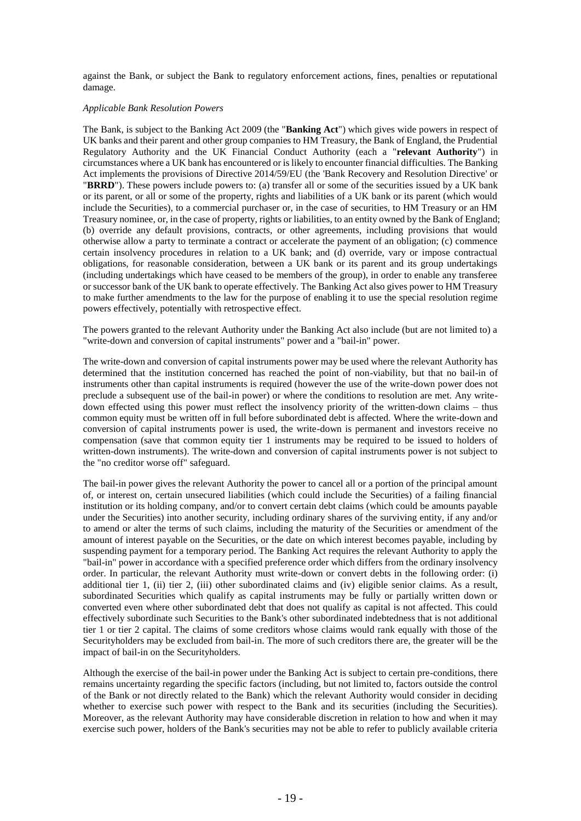against the Bank, or subject the Bank to regulatory enforcement actions, fines, penalties or reputational damage.

#### *Applicable Bank Resolution Powers*

The Bank, is subject to the Banking Act 2009 (the "**Banking Act**") which gives wide powers in respect of UK banks and their parent and other group companies to HM Treasury, the Bank of England, the Prudential Regulatory Authority and the UK Financial Conduct Authority (each a "**relevant Authority**") in circumstances where a UK bank has encountered or is likely to encounter financial difficulties. The Banking Act implements the provisions of Directive 2014/59/EU (the 'Bank Recovery and Resolution Directive' or "**BRRD**"). These powers include powers to: (a) transfer all or some of the securities issued by a UK bank or its parent, or all or some of the property, rights and liabilities of a UK bank or its parent (which would include the Securities), to a commercial purchaser or, in the case of securities, to HM Treasury or an HM Treasury nominee, or, in the case of property, rights or liabilities, to an entity owned by the Bank of England; (b) override any default provisions, contracts, or other agreements, including provisions that would otherwise allow a party to terminate a contract or accelerate the payment of an obligation; (c) commence certain insolvency procedures in relation to a UK bank; and (d) override, vary or impose contractual obligations, for reasonable consideration, between a UK bank or its parent and its group undertakings (including undertakings which have ceased to be members of the group), in order to enable any transferee or successor bank of the UK bank to operate effectively. The Banking Act also gives power to HM Treasury to make further amendments to the law for the purpose of enabling it to use the special resolution regime powers effectively, potentially with retrospective effect.

The powers granted to the relevant Authority under the Banking Act also include (but are not limited to) a "write-down and conversion of capital instruments" power and a "bail-in" power.

The write-down and conversion of capital instruments power may be used where the relevant Authority has determined that the institution concerned has reached the point of non-viability, but that no bail-in of instruments other than capital instruments is required (however the use of the write-down power does not preclude a subsequent use of the bail-in power) or where the conditions to resolution are met. Any writedown effected using this power must reflect the insolvency priority of the written-down claims – thus common equity must be written off in full before subordinated debt is affected. Where the write-down and conversion of capital instruments power is used, the write-down is permanent and investors receive no compensation (save that common equity tier 1 instruments may be required to be issued to holders of written-down instruments). The write-down and conversion of capital instruments power is not subject to the "no creditor worse off" safeguard.

The bail-in power gives the relevant Authority the power to cancel all or a portion of the principal amount of, or interest on, certain unsecured liabilities (which could include the Securities) of a failing financial institution or its holding company, and/or to convert certain debt claims (which could be amounts payable under the Securities) into another security, including ordinary shares of the surviving entity, if any and/or to amend or alter the terms of such claims, including the maturity of the Securities or amendment of the amount of interest payable on the Securities, or the date on which interest becomes payable, including by suspending payment for a temporary period. The Banking Act requires the relevant Authority to apply the "bail-in" power in accordance with a specified preference order which differs from the ordinary insolvency order. In particular, the relevant Authority must write-down or convert debts in the following order: (i) additional tier 1, (ii) tier 2, (iii) other subordinated claims and (iv) eligible senior claims. As a result, subordinated Securities which qualify as capital instruments may be fully or partially written down or converted even where other subordinated debt that does not qualify as capital is not affected. This could effectively subordinate such Securities to the Bank's other subordinated indebtedness that is not additional tier 1 or tier 2 capital. The claims of some creditors whose claims would rank equally with those of the Securityholders may be excluded from bail-in. The more of such creditors there are, the greater will be the impact of bail-in on the Securityholders.

Although the exercise of the bail-in power under the Banking Act is subject to certain pre-conditions, there remains uncertainty regarding the specific factors (including, but not limited to, factors outside the control of the Bank or not directly related to the Bank) which the relevant Authority would consider in deciding whether to exercise such power with respect to the Bank and its securities (including the Securities). Moreover, as the relevant Authority may have considerable discretion in relation to how and when it may exercise such power, holders of the Bank's securities may not be able to refer to publicly available criteria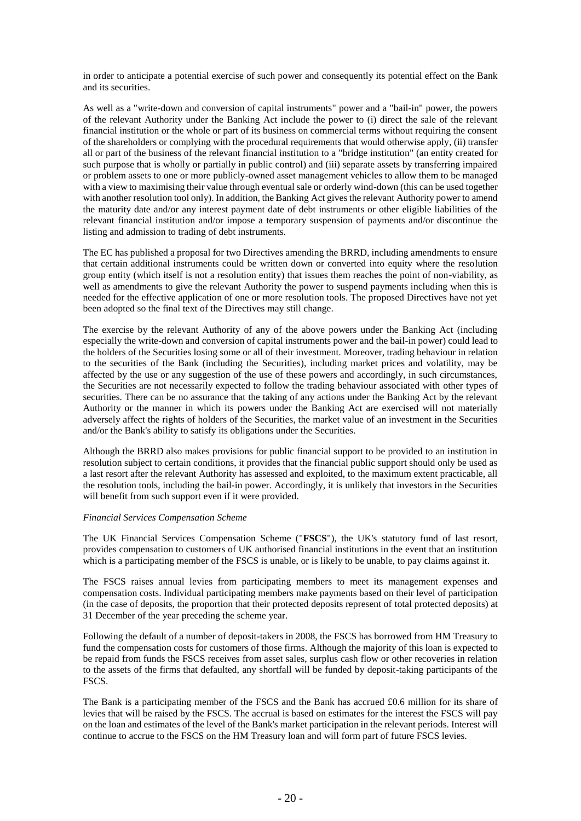in order to anticipate a potential exercise of such power and consequently its potential effect on the Bank and its securities.

As well as a "write-down and conversion of capital instruments" power and a "bail-in" power, the powers of the relevant Authority under the Banking Act include the power to (i) direct the sale of the relevant financial institution or the whole or part of its business on commercial terms without requiring the consent of the shareholders or complying with the procedural requirements that would otherwise apply, (ii) transfer all or part of the business of the relevant financial institution to a "bridge institution" (an entity created for such purpose that is wholly or partially in public control) and (iii) separate assets by transferring impaired or problem assets to one or more publicly-owned asset management vehicles to allow them to be managed with a view to maximising their value through eventual sale or orderly wind-down (this can be used together with another resolution tool only). In addition, the Banking Act gives the relevant Authority power to amend the maturity date and/or any interest payment date of debt instruments or other eligible liabilities of the relevant financial institution and/or impose a temporary suspension of payments and/or discontinue the listing and admission to trading of debt instruments.

The EC has published a proposal for two Directives amending the BRRD, including amendments to ensure that certain additional instruments could be written down or converted into equity where the resolution group entity (which itself is not a resolution entity) that issues them reaches the point of non-viability, as well as amendments to give the relevant Authority the power to suspend payments including when this is needed for the effective application of one or more resolution tools. The proposed Directives have not yet been adopted so the final text of the Directives may still change.

The exercise by the relevant Authority of any of the above powers under the Banking Act (including especially the write-down and conversion of capital instruments power and the bail-in power) could lead to the holders of the Securities losing some or all of their investment. Moreover, trading behaviour in relation to the securities of the Bank (including the Securities), including market prices and volatility, may be affected by the use or any suggestion of the use of these powers and accordingly, in such circumstances, the Securities are not necessarily expected to follow the trading behaviour associated with other types of securities. There can be no assurance that the taking of any actions under the Banking Act by the relevant Authority or the manner in which its powers under the Banking Act are exercised will not materially adversely affect the rights of holders of the Securities, the market value of an investment in the Securities and/or the Bank's ability to satisfy its obligations under the Securities.

Although the BRRD also makes provisions for public financial support to be provided to an institution in resolution subject to certain conditions, it provides that the financial public support should only be used as a last resort after the relevant Authority has assessed and exploited, to the maximum extent practicable, all the resolution tools, including the bail-in power. Accordingly, it is unlikely that investors in the Securities will benefit from such support even if it were provided.

## *Financial Services Compensation Scheme*

The UK Financial Services Compensation Scheme ("**FSCS**"), the UK's statutory fund of last resort, provides compensation to customers of UK authorised financial institutions in the event that an institution which is a participating member of the FSCS is unable, or is likely to be unable, to pay claims against it.

The FSCS raises annual levies from participating members to meet its management expenses and compensation costs. Individual participating members make payments based on their level of participation (in the case of deposits, the proportion that their protected deposits represent of total protected deposits) at 31 December of the year preceding the scheme year.

Following the default of a number of deposit-takers in 2008, the FSCS has borrowed from HM Treasury to fund the compensation costs for customers of those firms. Although the majority of this loan is expected to be repaid from funds the FSCS receives from asset sales, surplus cash flow or other recoveries in relation to the assets of the firms that defaulted, any shortfall will be funded by deposit-taking participants of the FSCS.

The Bank is a participating member of the FSCS and the Bank has accrued £0.6 million for its share of levies that will be raised by the FSCS. The accrual is based on estimates for the interest the FSCS will pay on the loan and estimates of the level of the Bank's market participation in the relevant periods. Interest will continue to accrue to the FSCS on the HM Treasury loan and will form part of future FSCS levies.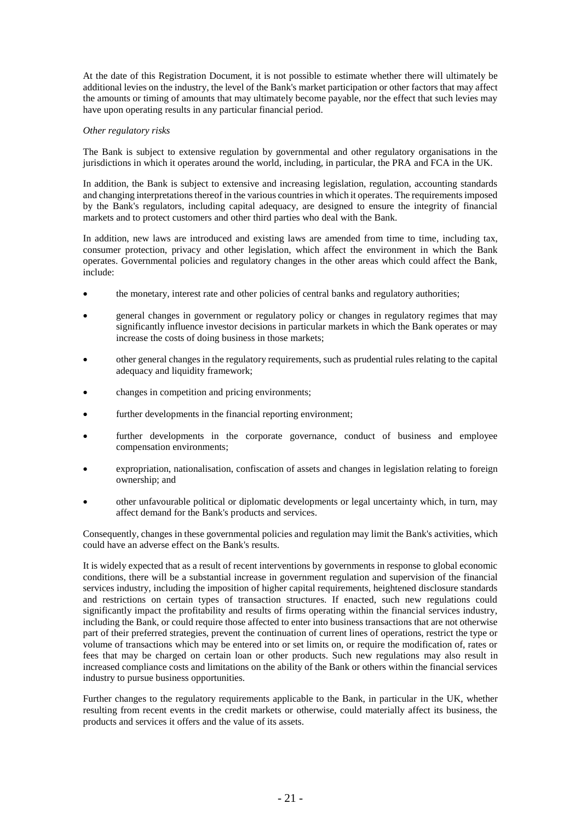At the date of this Registration Document, it is not possible to estimate whether there will ultimately be additional levies on the industry, the level of the Bank's market participation or other factors that may affect the amounts or timing of amounts that may ultimately become payable, nor the effect that such levies may have upon operating results in any particular financial period.

#### *Other regulatory risks*

The Bank is subject to extensive regulation by governmental and other regulatory organisations in the jurisdictions in which it operates around the world, including, in particular, the PRA and FCA in the UK.

In addition, the Bank is subject to extensive and increasing legislation, regulation, accounting standards and changing interpretations thereof in the various countries in which it operates. The requirements imposed by the Bank's regulators, including capital adequacy, are designed to ensure the integrity of financial markets and to protect customers and other third parties who deal with the Bank.

In addition, new laws are introduced and existing laws are amended from time to time, including tax, consumer protection, privacy and other legislation, which affect the environment in which the Bank operates. Governmental policies and regulatory changes in the other areas which could affect the Bank, include:

- the monetary, interest rate and other policies of central banks and regulatory authorities;
- general changes in government or regulatory policy or changes in regulatory regimes that may significantly influence investor decisions in particular markets in which the Bank operates or may increase the costs of doing business in those markets;
- other general changes in the regulatory requirements, such as prudential rules relating to the capital adequacy and liquidity framework;
- changes in competition and pricing environments;
- further developments in the financial reporting environment;
- further developments in the corporate governance, conduct of business and employee compensation environments;
- expropriation, nationalisation, confiscation of assets and changes in legislation relating to foreign ownership; and
- other unfavourable political or diplomatic developments or legal uncertainty which, in turn, may affect demand for the Bank's products and services.

Consequently, changes in these governmental policies and regulation may limit the Bank's activities, which could have an adverse effect on the Bank's results.

It is widely expected that as a result of recent interventions by governments in response to global economic conditions, there will be a substantial increase in government regulation and supervision of the financial services industry, including the imposition of higher capital requirements, heightened disclosure standards and restrictions on certain types of transaction structures. If enacted, such new regulations could significantly impact the profitability and results of firms operating within the financial services industry, including the Bank, or could require those affected to enter into business transactions that are not otherwise part of their preferred strategies, prevent the continuation of current lines of operations, restrict the type or volume of transactions which may be entered into or set limits on, or require the modification of, rates or fees that may be charged on certain loan or other products. Such new regulations may also result in increased compliance costs and limitations on the ability of the Bank or others within the financial services industry to pursue business opportunities.

Further changes to the regulatory requirements applicable to the Bank, in particular in the UK, whether resulting from recent events in the credit markets or otherwise, could materially affect its business, the products and services it offers and the value of its assets.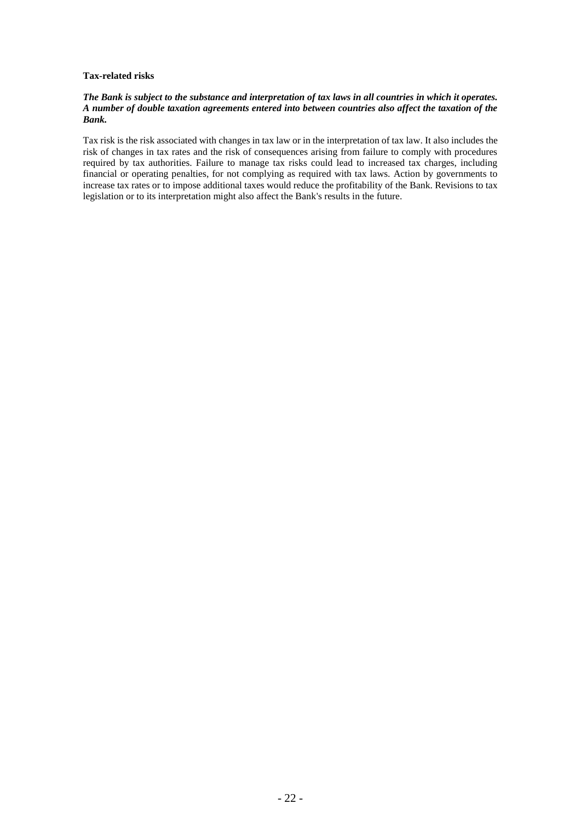## **Tax-related risks**

## *The Bank is subject to the substance and interpretation of tax laws in all countries in which it operates. A number of double taxation agreements entered into between countries also affect the taxation of the Bank.*

Tax risk is the risk associated with changes in tax law or in the interpretation of tax law. It also includes the risk of changes in tax rates and the risk of consequences arising from failure to comply with procedures required by tax authorities. Failure to manage tax risks could lead to increased tax charges, including financial or operating penalties, for not complying as required with tax laws. Action by governments to increase tax rates or to impose additional taxes would reduce the profitability of the Bank. Revisions to tax legislation or to its interpretation might also affect the Bank's results in the future.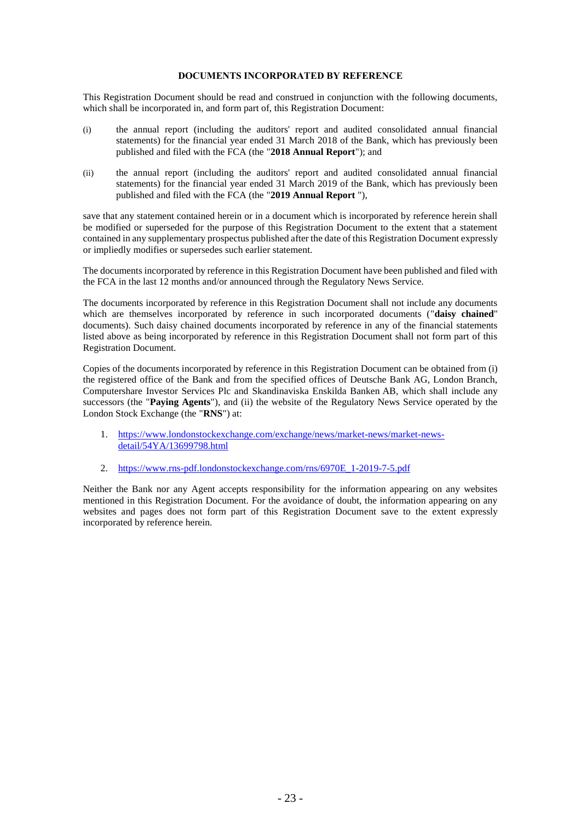## **DOCUMENTS INCORPORATED BY REFERENCE**

This Registration Document should be read and construed in conjunction with the following documents, which shall be incorporated in, and form part of, this Registration Document:

- (i) the annual report (including the auditors' report and audited consolidated annual financial statements) for the financial year ended 31 March 2018 of the Bank, which has previously been published and filed with the FCA (the "**2018 Annual Report**"); and
- (ii) the annual report (including the auditors' report and audited consolidated annual financial statements) for the financial year ended 31 March 2019 of the Bank, which has previously been published and filed with the FCA (the "**2019 Annual Report** "),

save that any statement contained herein or in a document which is incorporated by reference herein shall be modified or superseded for the purpose of this Registration Document to the extent that a statement contained in any supplementary prospectus published after the date of this Registration Document expressly or impliedly modifies or supersedes such earlier statement.

The documents incorporated by reference in this Registration Document have been published and filed with the FCA in the last 12 months and/or announced through the Regulatory News Service.

The documents incorporated by reference in this Registration Document shall not include any documents which are themselves incorporated by reference in such incorporated documents ("**daisy chained**" documents). Such daisy chained documents incorporated by reference in any of the financial statements listed above as being incorporated by reference in this Registration Document shall not form part of this Registration Document.

Copies of the documents incorporated by reference in this Registration Document can be obtained from (i) the registered office of the Bank and from the specified offices of Deutsche Bank AG, London Branch, Computershare Investor Services Plc and Skandinaviska Enskilda Banken AB, which shall include any successors (the "**Paying Agents**"), and (ii) the website of the Regulatory News Service operated by the London Stock Exchange (the "**RNS**") at:

- 1. [https://www.londonstockexchange.com/exchange/news/market-news/market-news](https://www.londonstockexchange.com/exchange/news/market-news/market-news-detail/54YA/13699798.html)[detail/54YA/13699798.html](https://www.londonstockexchange.com/exchange/news/market-news/market-news-detail/54YA/13699798.html)
- 2. [https://www.rns-pdf.londonstockexchange.com/rns/6970E\\_1-2019-7-5.pdf](https://www.rns-pdf.londonstockexchange.com/rns/6970E_1-2019-7-5.pdf)

Neither the Bank nor any Agent accepts responsibility for the information appearing on any websites mentioned in this Registration Document. For the avoidance of doubt, the information appearing on any websites and pages does not form part of this Registration Document save to the extent expressly incorporated by reference herein.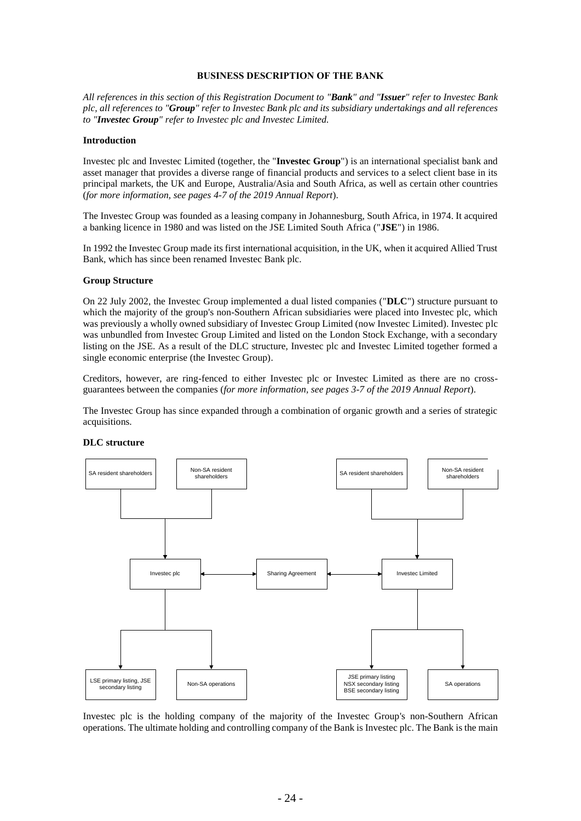#### **BUSINESS DESCRIPTION OF THE BANK**

*All references in this section of this Registration Document to "Bank" and "Issuer" refer to Investec Bank plc, all references to "Group" refer to Investec Bank plc and its subsidiary undertakings and all references to "Investec Group" refer to Investec plc and Investec Limited.*

#### **Introduction**

Investec plc and Investec Limited (together, the "**Investec Group**") is an international specialist bank and asset manager that provides a diverse range of financial products and services to a select client base in its principal markets, the UK and Europe, Australia/Asia and South Africa, as well as certain other countries (*for more information, see pages 4-7 of the 2019 Annual Report*).

The Investec Group was founded as a leasing company in Johannesburg, South Africa, in 1974. It acquired a banking licence in 1980 and was listed on the JSE Limited South Africa ("**JSE**") in 1986.

In 1992 the Investec Group made its first international acquisition, in the UK, when it acquired Allied Trust Bank, which has since been renamed Investec Bank plc.

#### **Group Structure**

On 22 July 2002, the Investec Group implemented a dual listed companies ("**DLC**") structure pursuant to which the majority of the group's non-Southern African subsidiaries were placed into Investec plc, which was previously a wholly owned subsidiary of Investec Group Limited (now Investec Limited). Investec plc was unbundled from Investec Group Limited and listed on the London Stock Exchange, with a secondary listing on the JSE. As a result of the DLC structure, Investec plc and Investec Limited together formed a single economic enterprise (the Investec Group).

Creditors, however, are ring-fenced to either Investec plc or Investec Limited as there are no crossguarantees between the companies (*for more information, see pages 3-7 of the 2019 Annual Report*).

The Investec Group has since expanded through a combination of organic growth and a series of strategic acquisitions.



#### **DLC structure**

Investec plc is the holding company of the majority of the Investec Group's non-Southern African operations. The ultimate holding and controlling company of the Bank is Investec plc. The Bank is the main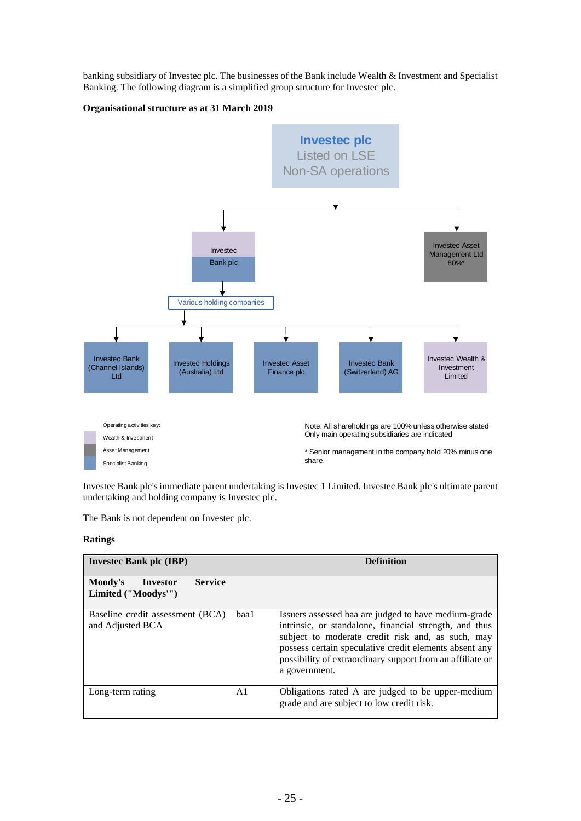banking subsidiary of Investec plc. The businesses of the Bank include Wealth & Investment and Specialist Banking. The following diagram is a simplified group structure for Investec plc.

## **Organisational structure as at 31 March 2019**



Investec Bank plc's immediate parent undertaking is Investec 1 Limited. Investec Bank plc's ultimate parent undertaking and holding company is Investec plc.

The Bank is not dependent on Investec plc.

## **Ratings**

| <b>Invested Bank plc (IBP)</b>                               |      | <b>Definition</b>                                                                                                                                                                                                                                                                                           |  |
|--------------------------------------------------------------|------|-------------------------------------------------------------------------------------------------------------------------------------------------------------------------------------------------------------------------------------------------------------------------------------------------------------|--|
| <b>Service</b><br>Moody's<br>Investor<br>Limited ("Moodys"") |      |                                                                                                                                                                                                                                                                                                             |  |
| Baseline credit assessment (BCA)<br>and Adjusted BCA         | baal | Issuers assessed baa are judged to have medium-grade<br>intrinsic, or standalone, financial strength, and thus<br>subject to moderate credit risk and, as such, may<br>possess certain speculative credit elements absent any<br>possibility of extraordinary support from an affiliate or<br>a government. |  |
| Long-term rating                                             | A1   | Obligations rated A are judged to be upper-medium<br>grade and are subject to low credit risk.                                                                                                                                                                                                              |  |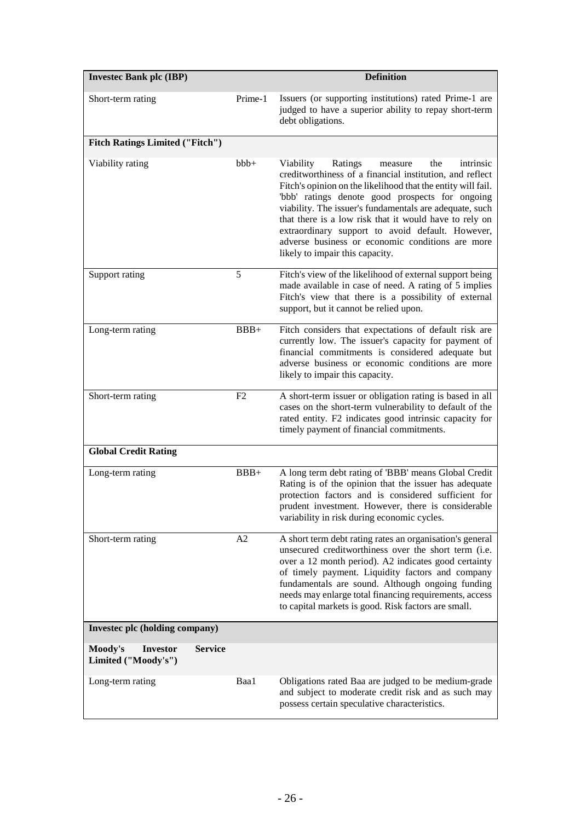| <b>Invested Bank plc (IBP)</b>                    |                |                | <b>Definition</b>                                                                                                                                                                                                                                                                                                                                                                                                                                                                                  |
|---------------------------------------------------|----------------|----------------|----------------------------------------------------------------------------------------------------------------------------------------------------------------------------------------------------------------------------------------------------------------------------------------------------------------------------------------------------------------------------------------------------------------------------------------------------------------------------------------------------|
| Short-term rating                                 |                | Prime-1        | Issuers (or supporting institutions) rated Prime-1 are<br>judged to have a superior ability to repay short-term<br>debt obligations.                                                                                                                                                                                                                                                                                                                                                               |
| <b>Fitch Ratings Limited ("Fitch")</b>            |                |                |                                                                                                                                                                                                                                                                                                                                                                                                                                                                                                    |
| Viability rating                                  |                | $bbb+$         | Ratings<br>Viability<br>the<br>intrinsic<br>measure<br>creditworthiness of a financial institution, and reflect<br>Fitch's opinion on the likelihood that the entity will fail.<br>'bbb' ratings denote good prospects for ongoing<br>viability. The issuer's fundamentals are adequate, such<br>that there is a low risk that it would have to rely on<br>extraordinary support to avoid default. However,<br>adverse business or economic conditions are more<br>likely to impair this capacity. |
| Support rating                                    |                | 5              | Fitch's view of the likelihood of external support being<br>made available in case of need. A rating of 5 implies<br>Fitch's view that there is a possibility of external<br>support, but it cannot be relied upon.                                                                                                                                                                                                                                                                                |
| Long-term rating                                  |                | $BBB+$         | Fitch considers that expectations of default risk are<br>currently low. The issuer's capacity for payment of<br>financial commitments is considered adequate but<br>adverse business or economic conditions are more<br>likely to impair this capacity.                                                                                                                                                                                                                                            |
| Short-term rating                                 |                | F <sub>2</sub> | A short-term issuer or obligation rating is based in all<br>cases on the short-term vulnerability to default of the<br>rated entity. F2 indicates good intrinsic capacity for<br>timely payment of financial commitments.                                                                                                                                                                                                                                                                          |
| <b>Global Credit Rating</b>                       |                |                |                                                                                                                                                                                                                                                                                                                                                                                                                                                                                                    |
| Long-term rating                                  |                | $BBB+$         | A long term debt rating of 'BBB' means Global Credit<br>Rating is of the opinion that the issuer has adequate<br>protection factors and is considered sufficient for<br>prudent investment. However, there is considerable<br>variability in risk during economic cycles.                                                                                                                                                                                                                          |
| Short-term rating                                 |                | A2             | A short term debt rating rates an organisation's general<br>unsecured creditworthiness over the short term (i.e.<br>over a 12 month period). A2 indicates good certainty<br>of timely payment. Liquidity factors and company<br>fundamentals are sound. Although ongoing funding<br>needs may enlarge total financing requirements, access<br>to capital markets is good. Risk factors are small.                                                                                                  |
| Invested plc (holding company)                    |                |                |                                                                                                                                                                                                                                                                                                                                                                                                                                                                                                    |
| Moody's<br><b>Investor</b><br>Limited ("Moody's") | <b>Service</b> |                |                                                                                                                                                                                                                                                                                                                                                                                                                                                                                                    |
| Long-term rating                                  |                | Baa1           | Obligations rated Baa are judged to be medium-grade<br>and subject to moderate credit risk and as such may<br>possess certain speculative characteristics.                                                                                                                                                                                                                                                                                                                                         |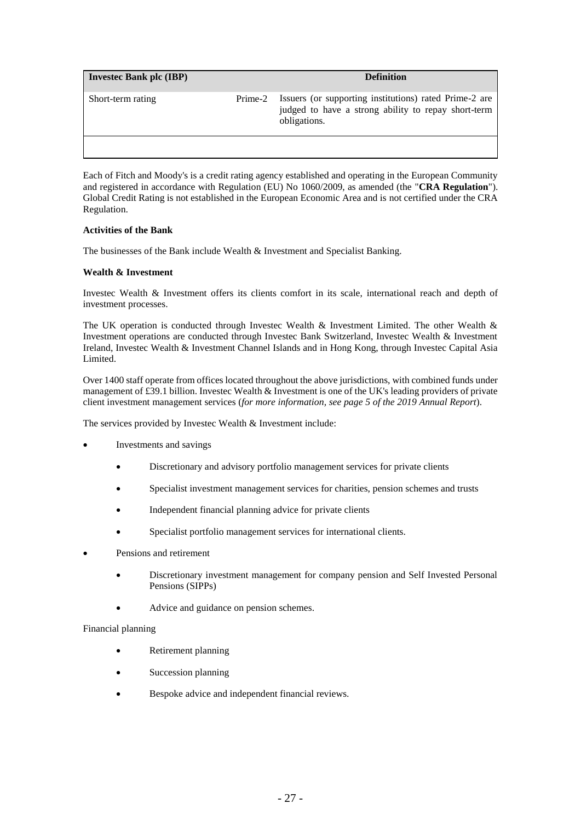| <b>Invested Bank plc (IBP)</b> |         | <b>Definition</b>                                                                                                             |
|--------------------------------|---------|-------------------------------------------------------------------------------------------------------------------------------|
| Short-term rating              | Prime-2 | Issuers (or supporting institutions) rated Prime-2 are<br>judged to have a strong ability to repay short-term<br>obligations. |
|                                |         |                                                                                                                               |

Each of Fitch and Moody's is a credit rating agency established and operating in the European Community and registered in accordance with Regulation (EU) No 1060/2009, as amended (the "**CRA Regulation**"). Global Credit Rating is not established in the European Economic Area and is not certified under the CRA Regulation.

## **Activities of the Bank**

The businesses of the Bank include Wealth & Investment and Specialist Banking.

## **Wealth & Investment**

Investec Wealth & Investment offers its clients comfort in its scale, international reach and depth of investment processes.

The UK operation is conducted through Investec Wealth & Investment Limited. The other Wealth & Investment operations are conducted through Investec Bank Switzerland, Investec Wealth & Investment Ireland, Investec Wealth & Investment Channel Islands and in Hong Kong, through Investec Capital Asia Limited.

Over 1400 staff operate from offices located throughout the above jurisdictions, with combined funds under management of £39.1 billion. Investec Wealth & Investment is one of the UK's leading providers of private client investment management services (*for more information, see page 5 of the 2019 Annual Report*).

The services provided by Investec Wealth & Investment include:

- Investments and savings
	- Discretionary and advisory portfolio management services for private clients
	- Specialist investment management services for charities, pension schemes and trusts
	- Independent financial planning advice for private clients
	- Specialist portfolio management services for international clients.
- Pensions and retirement
	- Discretionary investment management for company pension and Self Invested Personal Pensions (SIPPs)
	- Advice and guidance on pension schemes.

#### Financial planning

- Retirement planning
- Succession planning
- Bespoke advice and independent financial reviews.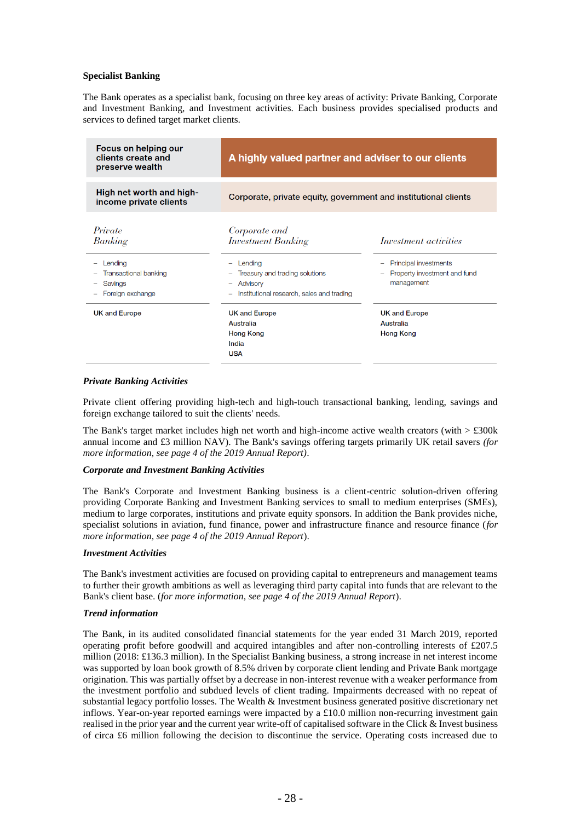## **Specialist Banking**

The Bank operates as a specialist bank, focusing on three key areas of activity: Private Banking, Corporate and Investment Banking, and Investment activities. Each business provides specialised products and services to defined target market clients.

| Focus on helping our<br>clients create and<br>preserve wealth               | A highly valued partner and adviser to our clients                                                 |                                                                     |  |
|-----------------------------------------------------------------------------|----------------------------------------------------------------------------------------------------|---------------------------------------------------------------------|--|
| High net worth and high-<br>income private clients                          | Corporate, private equity, government and institutional clients                                    |                                                                     |  |
| Private<br>Banking                                                          | Corporate and<br><b>Investment Banking</b>                                                         | Investment activities                                               |  |
| Lending<br><b>Transactional banking</b><br>-<br>Savings<br>Foreign exchange | Lending<br>Treasury and trading solutions<br>Advisory<br>Institutional research, sales and trading | Principal investments<br>Property investment and fund<br>management |  |
| <b>UK and Europe</b>                                                        | <b>UK and Europe</b><br>Australia<br><b>Hong Kong</b><br>India<br><b>USA</b>                       | <b>UK and Europe</b><br>Australia<br><b>Hong Kong</b>               |  |

#### *Private Banking Activities*

Private client offering providing high-tech and high-touch transactional banking, lending, savings and foreign exchange tailored to suit the clients' needs.

The Bank's target market includes high net worth and high-income active wealth creators (with  $> \text{\pounds}300k$ annual income and £3 million NAV). The Bank's savings offering targets primarily UK retail savers *(for more information, see page 4 of the 2019 Annual Report)*.

#### *Corporate and Investment Banking Activities*

The Bank's Corporate and Investment Banking business is a client-centric solution-driven offering providing Corporate Banking and Investment Banking services to small to medium enterprises (SMEs), medium to large corporates, institutions and private equity sponsors. In addition the Bank provides niche, specialist solutions in aviation, fund finance, power and infrastructure finance and resource finance (*for more information, see page 4 of the 2019 Annual Report*).

#### *Investment Activities*

The Bank's investment activities are focused on providing capital to entrepreneurs and management teams to further their growth ambitions as well as leveraging third party capital into funds that are relevant to the Bank's client base. (*for more information, see page 4 of the 2019 Annual Report*).

#### *Trend information*

The Bank, in its audited consolidated financial statements for the year ended 31 March 2019, reported operating profit before goodwill and acquired intangibles and after non-controlling interests of £207.5 million (2018: £136.3 million). In the Specialist Banking business, a strong increase in net interest income was supported by loan book growth of 8.5% driven by corporate client lending and Private Bank mortgage origination. This was partially offset by a decrease in non-interest revenue with a weaker performance from the investment portfolio and subdued levels of client trading. Impairments decreased with no repeat of substantial legacy portfolio losses. The Wealth & Investment business generated positive discretionary net inflows. Year-on-year reported earnings were impacted by a £10.0 million non-recurring investment gain realised in the prior year and the current year write-off of capitalised software in the Click & Invest business of circa £6 million following the decision to discontinue the service. Operating costs increased due to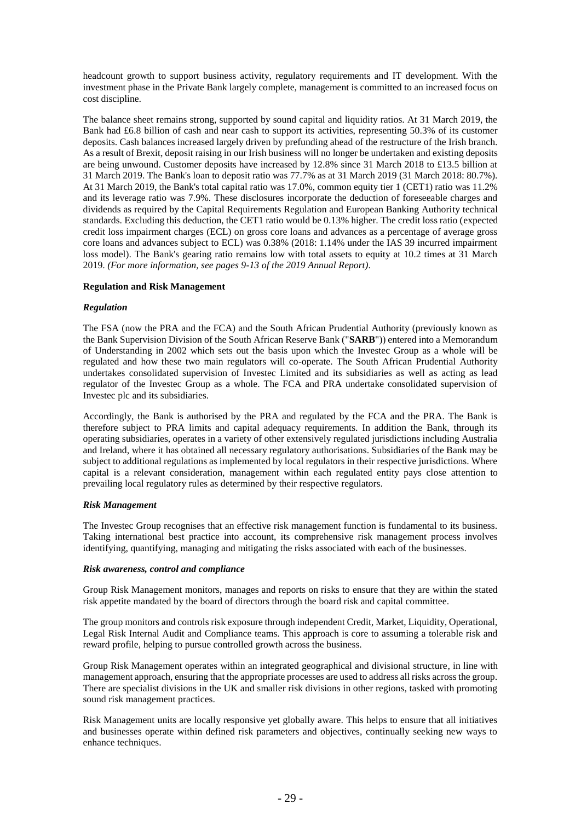headcount growth to support business activity, regulatory requirements and IT development. With the investment phase in the Private Bank largely complete, management is committed to an increased focus on cost discipline.

The balance sheet remains strong, supported by sound capital and liquidity ratios. At 31 March 2019, the Bank had £6.8 billion of cash and near cash to support its activities, representing 50.3% of its customer deposits. Cash balances increased largely driven by prefunding ahead of the restructure of the Irish branch. As a result of Brexit, deposit raising in our Irish business will no longer be undertaken and existing deposits are being unwound. Customer deposits have increased by 12.8% since 31 March 2018 to £13.5 billion at 31 March 2019. The Bank's loan to deposit ratio was 77.7% as at 31 March 2019 (31 March 2018: 80.7%). At 31 March 2019, the Bank's total capital ratio was 17.0%, common equity tier 1 (CET1) ratio was 11.2% and its leverage ratio was 7.9%. These disclosures incorporate the deduction of foreseeable charges and dividends as required by the Capital Requirements Regulation and European Banking Authority technical standards. Excluding this deduction, the CET1 ratio would be 0.13% higher. The credit loss ratio (expected credit loss impairment charges (ECL) on gross core loans and advances as a percentage of average gross core loans and advances subject to ECL) was 0.38% (2018: 1.14% under the IAS 39 incurred impairment loss model). The Bank's gearing ratio remains low with total assets to equity at 10.2 times at 31 March 2019. *(For more information, see pages 9-13 of the 2019 Annual Report)*.

## **Regulation and Risk Management**

#### *Regulation*

The FSA (now the PRA and the FCA) and the South African Prudential Authority (previously known as the Bank Supervision Division of the South African Reserve Bank ("**SARB**")) entered into a Memorandum of Understanding in 2002 which sets out the basis upon which the Investec Group as a whole will be regulated and how these two main regulators will co-operate. The South African Prudential Authority undertakes consolidated supervision of Investec Limited and its subsidiaries as well as acting as lead regulator of the Investec Group as a whole. The FCA and PRA undertake consolidated supervision of Investec plc and its subsidiaries.

Accordingly, the Bank is authorised by the PRA and regulated by the FCA and the PRA. The Bank is therefore subject to PRA limits and capital adequacy requirements. In addition the Bank, through its operating subsidiaries, operates in a variety of other extensively regulated jurisdictions including Australia and Ireland, where it has obtained all necessary regulatory authorisations. Subsidiaries of the Bank may be subject to additional regulations as implemented by local regulators in their respective jurisdictions. Where capital is a relevant consideration, management within each regulated entity pays close attention to prevailing local regulatory rules as determined by their respective regulators.

#### *Risk Management*

The Investec Group recognises that an effective risk management function is fundamental to its business. Taking international best practice into account, its comprehensive risk management process involves identifying, quantifying, managing and mitigating the risks associated with each of the businesses.

#### *Risk awareness, control and compliance*

Group Risk Management monitors, manages and reports on risks to ensure that they are within the stated risk appetite mandated by the board of directors through the board risk and capital committee.

The group monitors and controls risk exposure through independent Credit, Market, Liquidity, Operational, Legal Risk Internal Audit and Compliance teams. This approach is core to assuming a tolerable risk and reward profile, helping to pursue controlled growth across the business.

Group Risk Management operates within an integrated geographical and divisional structure, in line with management approach, ensuring that the appropriate processes are used to address all risks across the group. There are specialist divisions in the UK and smaller risk divisions in other regions, tasked with promoting sound risk management practices.

Risk Management units are locally responsive yet globally aware. This helps to ensure that all initiatives and businesses operate within defined risk parameters and objectives, continually seeking new ways to enhance techniques.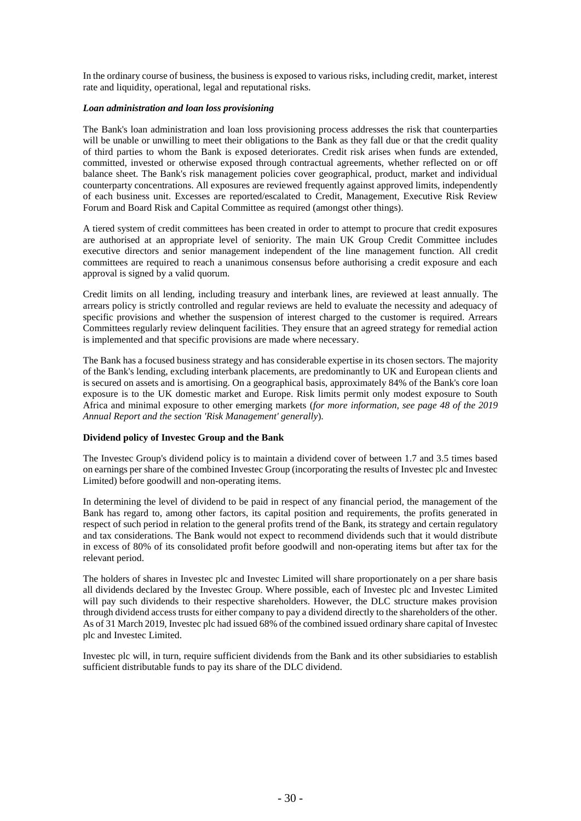In the ordinary course of business, the business is exposed to various risks, including credit, market, interest rate and liquidity, operational, legal and reputational risks.

#### *Loan administration and loan loss provisioning*

The Bank's loan administration and loan loss provisioning process addresses the risk that counterparties will be unable or unwilling to meet their obligations to the Bank as they fall due or that the credit quality of third parties to whom the Bank is exposed deteriorates. Credit risk arises when funds are extended, committed, invested or otherwise exposed through contractual agreements, whether reflected on or off balance sheet. The Bank's risk management policies cover geographical, product, market and individual counterparty concentrations. All exposures are reviewed frequently against approved limits, independently of each business unit. Excesses are reported/escalated to Credit, Management, Executive Risk Review Forum and Board Risk and Capital Committee as required (amongst other things).

A tiered system of credit committees has been created in order to attempt to procure that credit exposures are authorised at an appropriate level of seniority. The main UK Group Credit Committee includes executive directors and senior management independent of the line management function. All credit committees are required to reach a unanimous consensus before authorising a credit exposure and each approval is signed by a valid quorum.

Credit limits on all lending, including treasury and interbank lines, are reviewed at least annually. The arrears policy is strictly controlled and regular reviews are held to evaluate the necessity and adequacy of specific provisions and whether the suspension of interest charged to the customer is required. Arrears Committees regularly review delinquent facilities. They ensure that an agreed strategy for remedial action is implemented and that specific provisions are made where necessary.

The Bank has a focused business strategy and has considerable expertise in its chosen sectors. The majority of the Bank's lending, excluding interbank placements, are predominantly to UK and European clients and is secured on assets and is amortising. On a geographical basis, approximately 84% of the Bank's core loan exposure is to the UK domestic market and Europe. Risk limits permit only modest exposure to South Africa and minimal exposure to other emerging markets (*for more information, see page 48 of the 2019 Annual Report and the section 'Risk Management' generally*).

## **Dividend policy of Investec Group and the Bank**

The Investec Group's dividend policy is to maintain a dividend cover of between 1.7 and 3.5 times based on earnings per share of the combined Investec Group (incorporating the results of Investec plc and Investec Limited) before goodwill and non-operating items.

In determining the level of dividend to be paid in respect of any financial period, the management of the Bank has regard to, among other factors, its capital position and requirements, the profits generated in respect of such period in relation to the general profits trend of the Bank, its strategy and certain regulatory and tax considerations. The Bank would not expect to recommend dividends such that it would distribute in excess of 80% of its consolidated profit before goodwill and non-operating items but after tax for the relevant period.

The holders of shares in Investec plc and Investec Limited will share proportionately on a per share basis all dividends declared by the Investec Group. Where possible, each of Investec plc and Investec Limited will pay such dividends to their respective shareholders. However, the DLC structure makes provision through dividend access trusts for either company to pay a dividend directly to the shareholders of the other. As of 31 March 2019, Investec plc had issued 68% of the combined issued ordinary share capital of Investec plc and Investec Limited.

Investec plc will, in turn, require sufficient dividends from the Bank and its other subsidiaries to establish sufficient distributable funds to pay its share of the DLC dividend.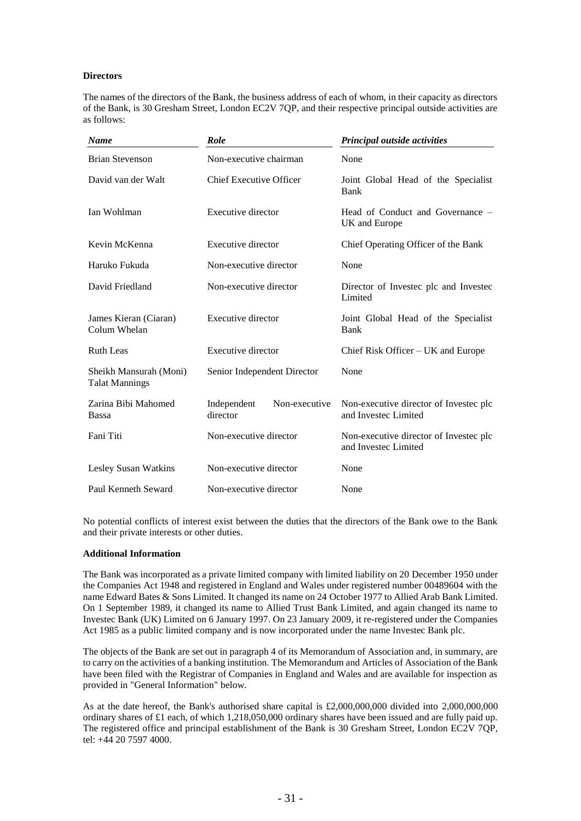## **Directors**

The names of the directors of the Bank, the business address of each of whom, in their capacity as directors of the Bank, is 30 Gresham Street, London EC2V 7QP, and their respective principal outside activities are as follows:

| <b>Name</b>                                     | <b>Role</b>                              | Principal outside activities                                   |
|-------------------------------------------------|------------------------------------------|----------------------------------------------------------------|
| <b>Brian Stevenson</b>                          | Non-executive chairman                   | None                                                           |
| David van der Walt                              | <b>Chief Executive Officer</b>           | Joint Global Head of the Specialist<br>Bank                    |
| Ian Wohlman                                     | Executive director                       | Head of Conduct and Governance –<br>UK and Europe              |
| Kevin McKenna                                   | Executive director                       | Chief Operating Officer of the Bank                            |
| Haruko Fukuda                                   | Non-executive director                   | None                                                           |
| David Friedland                                 | Non-executive director                   | Director of Invested plc and Invested<br>Limited               |
| James Kieran (Ciaran)<br>Colum Whelan           | Executive director                       | Joint Global Head of the Specialist<br>Bank                    |
| <b>Ruth Leas</b>                                | Executive director                       | Chief Risk Officer – UK and Europe                             |
| Sheikh Mansurah (Moni)<br><b>Talat Mannings</b> | Senior Independent Director              | None                                                           |
| Zarina Bibi Mahomed<br><b>Bassa</b>             | Independent<br>Non-executive<br>director | Non-executive director of Investec plc<br>and Investec Limited |
| Fani Titi                                       | Non-executive director                   | Non-executive director of Invested plc<br>and Investec Limited |
| Lesley Susan Watkins                            | Non-executive director                   | None                                                           |
| Paul Kenneth Seward                             | Non-executive director                   | None                                                           |

No potential conflicts of interest exist between the duties that the directors of the Bank owe to the Bank and their private interests or other duties.

#### **Additional Information**

The Bank was incorporated as a private limited company with limited liability on 20 December 1950 under the Companies Act 1948 and registered in England and Wales under registered number 00489604 with the name Edward Bates & Sons Limited. It changed its name on 24 October 1977 to Allied Arab Bank Limited. On 1 September 1989, it changed its name to Allied Trust Bank Limited, and again changed its name to Investec Bank (UK) Limited on 6 January 1997. On 23 January 2009, it re-registered under the Companies Act 1985 as a public limited company and is now incorporated under the name Investec Bank plc.

The objects of the Bank are set out in paragraph 4 of its Memorandum of Association and, in summary, are to carry on the activities of a banking institution. The Memorandum and Articles of Association of the Bank have been filed with the Registrar of Companies in England and Wales and are available for inspection as provided in "General Information" below.

As at the date hereof, the Bank's authorised share capital is £2,000,000,000 divided into 2,000,000,000 ordinary shares of £1 each, of which 1,218,050,000 ordinary shares have been issued and are fully paid up. The registered office and principal establishment of the Bank is 30 Gresham Street, London EC2V 7QP, tel: +44 20 7597 4000.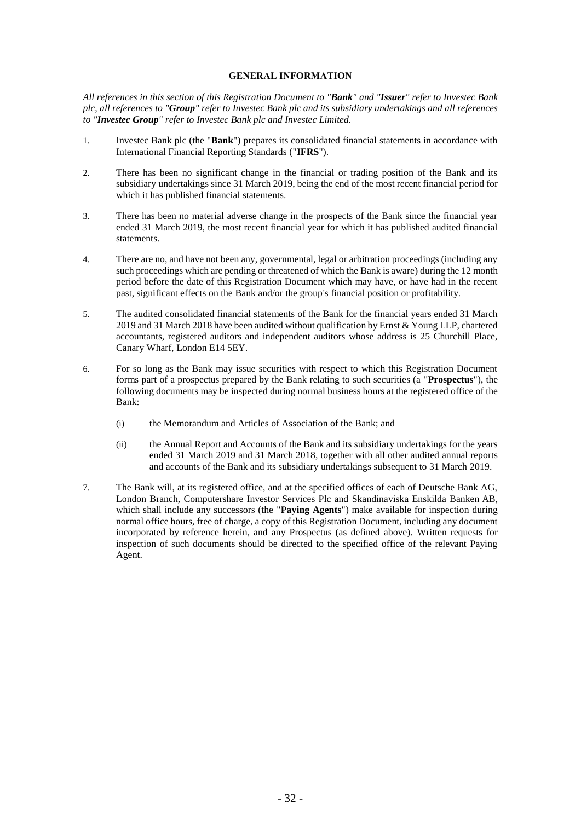## **GENERAL INFORMATION**

*All references in this section of this Registration Document to "Bank" and "Issuer" refer to Investec Bank plc, all references to "Group" refer to Investec Bank plc and its subsidiary undertakings and all references to "Investec Group" refer to Investec Bank plc and Investec Limited.*

- 1. Investec Bank plc (the "**Bank**") prepares its consolidated financial statements in accordance with International Financial Reporting Standards ("**IFRS**").
- 2. There has been no significant change in the financial or trading position of the Bank and its subsidiary undertakings since 31 March 2019, being the end of the most recent financial period for which it has published financial statements.
- 3. There has been no material adverse change in the prospects of the Bank since the financial year ended 31 March 2019, the most recent financial year for which it has published audited financial statements.
- 4. There are no, and have not been any, governmental, legal or arbitration proceedings (including any such proceedings which are pending or threatened of which the Bank is aware) during the 12 month period before the date of this Registration Document which may have, or have had in the recent past, significant effects on the Bank and/or the group's financial position or profitability.
- 5. The audited consolidated financial statements of the Bank for the financial years ended 31 March 2019 and 31 March 2018 have been audited without qualification by Ernst  $&$  Young LLP, chartered accountants, registered auditors and independent auditors whose address is 25 Churchill Place, Canary Wharf, London E14 5EY.
- 6. For so long as the Bank may issue securities with respect to which this Registration Document forms part of a prospectus prepared by the Bank relating to such securities (a "**Prospectus**"), the following documents may be inspected during normal business hours at the registered office of the Bank:
	- (i) the Memorandum and Articles of Association of the Bank; and
	- (ii) the Annual Report and Accounts of the Bank and its subsidiary undertakings for the years ended 31 March 2019 and 31 March 2018, together with all other audited annual reports and accounts of the Bank and its subsidiary undertakings subsequent to 31 March 2019.
- 7. The Bank will, at its registered office, and at the specified offices of each of Deutsche Bank AG, London Branch, Computershare Investor Services Plc and Skandinaviska Enskilda Banken AB, which shall include any successors (the "**Paying Agents**") make available for inspection during normal office hours, free of charge, a copy of this Registration Document, including any document incorporated by reference herein, and any Prospectus (as defined above). Written requests for inspection of such documents should be directed to the specified office of the relevant Paying Agent.